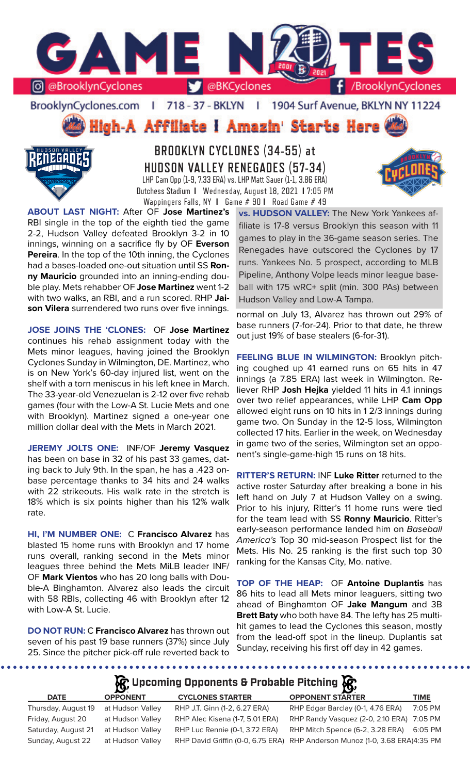

BrooklynCyclones.com | 718 - 37 - BKLYN - 11 1904 Surf Avenue, BKLYN NY 11224

High-A Affiliate I Amazin' Starts Here



**BROOKLYN CYCLONES (34-55) at HUDSON VALLEY RENEGADES (57-34)** LHP Cam Opp (1-9, 7.33 ERA) vs. LHP Matt Sauer (1-1, 3.86 ERA) Dutchess Stadium **I** Wednesday, August 18, 2021 **I** 7:05 PM Wappingers Falls, NY **I** Game # 90 **I** Road Game # 49

**ABOUT LAST NIGHT:** After OF **Jose Martinez's** RBI single in the top of the eighth tied the game 2-2, Hudson Valley defeated Brooklyn 3-2 in 10 innings, winning on a sacrifice fly by OF **Everson Pereira**. In the top of the 10th inning, the Cyclones had a bases-loaded one-out situation until SS **Ronny Mauricio** grounded into an inning-ending double play. Mets rehabber OF **Jose Martinez** went 1-2 with two walks, an RBI, and a run scored. RHP **Jaison Vilera** surrendered two runs over five innings.

**JOSE JOINS THE 'CLONES:** OF **Jose Martinez**  continues his rehab assignment today with the Mets minor leagues, having joined the Brooklyn Cyclones Sunday in Wilmington, DE. Martinez, who is on New York's 60-day injured list, went on the shelf with a torn meniscus in his left knee in March. The 33-year-old Venezuelan is 2-12 over five rehab games (four with the Low-A St. Lucie Mets and one with Brooklyn). Martinez signed a one-year one million dollar deal with the Mets in March 2021.

**JEREMY JOLTS ONE:** INF/OF **Jeremy Vasquez**  has been on base in 32 of his past 33 games, dating back to July 9th. In the span, he has a .423 onbase percentage thanks to 34 hits and 24 walks with 22 strikeouts. His walk rate in the stretch is 18% which is six points higher than his 12% walk rate.

**HI, I'M NUMBER ONE:** C **Francisco Alvarez** has blasted 15 home runs with Brooklyn and 17 home runs overall, ranking second in the Mets minor leagues three behind the Mets MiLB leader INF/ OF **Mark Vientos** who has 20 long balls with Double-A Binghamton. Alvarez also leads the circuit with 58 RBIs, collecting 46 with Brooklyn after 12 with Low-A St. Lucie.

**DO NOT RUN:** C **Francisco Alvarez** has thrown out seven of his past 19 base runners (37%) since July 25. Since the pitcher pick-off rule reverted back to

**vs. HUDSON VALLEY:** The New York Yankees affiliate is 17-8 versus Brooklyn this season with 11 games to play in the 36-game season series. The Renegades have outscored the Cyclones by 17 runs. Yankees No. 5 prospect, according to MLB Pipeline, Anthony Volpe leads minor league baseball with 175 wRC+ split (min. 300 PAs) between Hudson Valley and Low-A Tampa.

normal on July 13, Alvarez has thrown out 29% of base runners (7-for-24). Prior to that date, he threw out just 19% of base stealers (6-for-31).

**FEELING BLUE IN WILMINGTON: Brooklyn pitch**ing coughed up 41 earned runs on 65 hits in 47 innings (a 7.85 ERA) last week in Wilmington. Reliever RHP **Josh Hejka** yielded 11 hits in 4.1 innings over two relief appearances, while LHP **Cam Opp** allowed eight runs on 10 hits in 1 2/3 innings during game two. On Sunday in the 12-5 loss, Wilmington collected 17 hits. Earlier in the week, on Wednesday in game two of the series, Wilmington set an opponent's single-game-high 15 runs on 18 hits.

**RITTER'S RETURN:** INF **Luke Ritter** returned to the active roster Saturday after breaking a bone in his left hand on July 7 at Hudson Valley on a swing. Prior to his injury, Ritter's 11 home runs were tied for the team lead with SS **Ronny Mauricio**. Ritter's early-season performance landed him on *Baseball America's* Top 30 mid-season Prospect list for the Mets. His No. 25 ranking is the first such top 30 ranking for the Kansas City, Mo. native.

**TOP OF THE HEAP:** OF **Antoine Duplantis** has 86 hits to lead all Mets minor leaguers, sitting two ahead of Binghamton OF **Jake Mangum** and 3B **Brett Baty** who both have 84. The lefty has 25 multihit games to lead the Cyclones this season, mostly from the lead-off spot in the lineup. Duplantis sat Sunday, receiving his first off day in 42 games.

. . . . . . . . . . . . . . . . .

# **Upcoming Opponents & Probable Pitching**

| <b>DATE</b>         | <b>OPPONENT</b>  | <b>CYCLONES STARTER</b>         | <b>OPPONENT STARTER</b>                                                     | <b>TIME</b> |
|---------------------|------------------|---------------------------------|-----------------------------------------------------------------------------|-------------|
| Thursday, August 19 | at Hudson Valley | RHP J.T. Ginn (1-2, 6.27 ERA)   | RHP Edgar Barclay (0-1, 4.76 ERA)                                           | 7:05 PM     |
| Friday, August 20   | at Hudson Valley | RHP Alec Kisena (1-7, 5.01 ERA) | RHP Randy Vasquez (2-0, 2.10 ERA) 7:05 PM                                   |             |
| Saturday, August 21 | at Hudson Valley | RHP Luc Rennie (0-1, 3.72 ERA)  | RHP Mitch Spence (6-2, 3.28 ERA)                                            | 6:05 PM     |
| Sunday, August 22   | at Hudson Valley |                                 | RHP David Griffin (0-0, 6.75 ERA) RHP Anderson Munoz (1-0, 3.68 ERA)4:35 PM |             |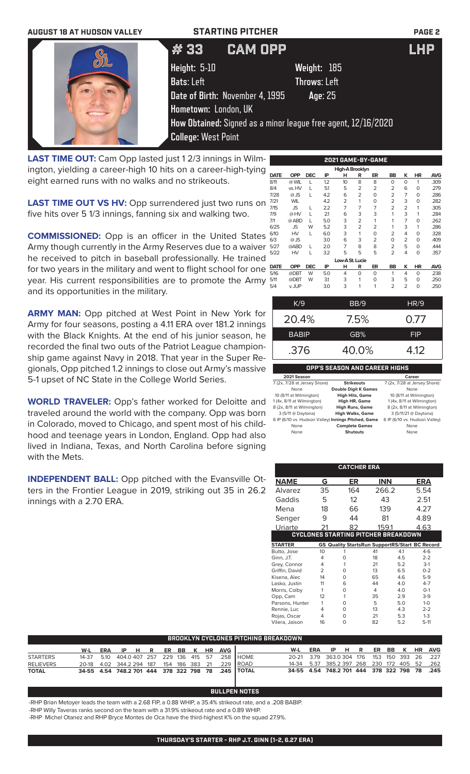| <b>AUGUST 18 AT HUDSON VALLEY</b> | <b>STARTING PITCHER</b>         |                                                               | <b>PAGE 2</b> |
|-----------------------------------|---------------------------------|---------------------------------------------------------------|---------------|
|                                   | <b>CAM OPP</b><br>【# 33         |                                                               | <b>LHP</b>    |
|                                   | Height: 5-10                    | Weight: 185                                                   |               |
|                                   | <b>Bats:</b> Left               | <b>Throws: Left</b>                                           |               |
|                                   | Date of Birth: November 4, 1995 | Age: 25                                                       |               |
|                                   | Hometown: London, UK            |                                                               |               |
|                                   |                                 | How Obtained: Signed as a minor league free agent, 12/16/2020 |               |
|                                   | <b>College: West Point</b>      |                                                               |               |

**LAST TIME OUT:** Cam Opp lasted just 1 2/3 innings in Wilmington, yielding a career-high 10 hits on a career-high-tying eight earned runs with no walks and no strikeouts.

**LAST TIME OUT VS HV:** Opp surrendered just two runs on five hits over 5 1/3 innings, fanning six and walking two.

**COMMISSIONED:** Opp is an officer in the United States Army though currently in the Army Reserves due to a waiver he received to pitch in baseball professionally. He trained for two years in the military and went to flight school for one year. His current responsibilities are to promote the Army and its opportunities in the military.

**ARMY MAN:** Opp pitched at West Point in New York for Army for four seasons, posting a 4.11 ERA over 181.2 innings with the Black Knights. At the end of his junior season, he recorded the final two outs of the Patriot League championship game against Navy in 2018. That year in the Super Regionals, Opp pitched 1.2 innings to close out Army's massive 5-1 upset of NC State in the College World Series.

**WORLD TRAVELER:** Opp's father worked for Deloitte and traveled around the world with the company. Opp was born in Colorado, moved to Chicago, and spent most of his childhood and teenage years in London, England. Opp had also lived in Indiana, Texas, and North Carolina before signing with the Mets.

**INDEPENDENT BALL:** Opp pitched with the Evansville Otters in the Frontier League in 2019, striking out 35 in 26.2 innings with a 2.70 ERA.

| 2021 GAME-BY-GAME |            |            |     |                 |                |                |                |                |           |            |  |
|-------------------|------------|------------|-----|-----------------|----------------|----------------|----------------|----------------|-----------|------------|--|
| High-A Brooklyn   |            |            |     |                 |                |                |                |                |           |            |  |
| <b>DATE</b>       | <b>OPP</b> | <b>DEC</b> | IP  | н               | R              | ER             | <b>BB</b>      | K              | <b>HR</b> | <b>AVG</b> |  |
| 8/11              | @ WIL      | L          | 1.2 | 10              | 8              | 8              | $\Omega$       | 0              | 1         | .309       |  |
| 8/4               | vs. HV     | L          | 5.1 | 5               | $\overline{2}$ | $\overline{2}$ | $\overline{2}$ | 6              | 0         | .279       |  |
| 7/28              | $@$ JS     | L          | 4.2 | 6               | $\overline{2}$ | $\Omega$       | $\overline{2}$ | 7              | 0         | .286       |  |
| 7/21              | <b>WIL</b> |            | 4.2 | $\overline{2}$  | 1              | O              | $\overline{2}$ | 3              | 0         | .282       |  |
| 7/15              | <b>JS</b>  | L          | 2.2 | $\overline{7}$  | 7              | $\overline{7}$ | $\overline{2}$ | $\overline{2}$ | 1         | .305       |  |
| 7/9               | @HV        | L          | 21  | 6               | 3              | 3              | 1              | 3              | 1         | .284       |  |
| 7/1               | @ ABD      | L          | 5.0 | 3               | $\overline{2}$ | 1              | 1              | $\overline{7}$ | 0         | .262       |  |
| 6/25              | <b>JS</b>  | W          | 5.2 | 3               | $\overline{2}$ | $\overline{2}$ | 1              | 3              | 1         | .286       |  |
| 6/10              | HV         | L          | 6.0 | 3               | 1              | $\Omega$       | $\overline{2}$ | 4              | $\Omega$  | .328       |  |
| 6/3               | $@$ JS     |            | 3.0 | 6               | 3              | $\overline{2}$ | $\Omega$       | 2              | 0         | .409       |  |
| 5/27              | @ABD       | L          | 2.0 | 7               | 8              | 8              | $\overline{2}$ | 5              | 0         | .444       |  |
| 5/22              | HV         | L          | 3.2 | 5               | 5              | 5              | $\overline{2}$ | 4              | 0         | .357       |  |
|                   |            |            |     | Low-A St. Lucie |                |                |                |                |           |            |  |
| <b>DATE</b>       | <b>OPP</b> | <b>DEC</b> | IP  | н               | R              | ER             | BB             | κ              | HR        | <b>AVG</b> |  |
| 5/16              | @DBT       | W          | 5.0 | 4               | 0              | O              | 1              | 4              | 0         | .238       |  |
| 5/11              | @DBT       | W          | 31  | 3               | 1              | O              | 3              | 5              | 0         | .250       |  |
| 5/4               | v. JUP     |            | 3.0 | 3               | 1              | 1              | $\overline{2}$ | $\overline{2}$ | 0         | .250       |  |

| K/9          | BB/9  | HR/9       |
|--------------|-------|------------|
| 20.4%        | 7.5%  | 0.77       |
| <b>BABIP</b> | GB%   | <b>FIP</b> |
| .376         | 40.0% | 4.12       |
|              |       |            |

## **OPP'S SEASON AND CAREER HIGHS**

| 2021 Season                                         |                             | Career                        |
|-----------------------------------------------------|-----------------------------|-------------------------------|
| 7 (2x, 7/28 at Jersey Shore)                        | <b>Strikeouts</b>           | 7 (2x, 7/28 at Jersey Shore)  |
| None                                                | <b>Double Digit K Games</b> | None                          |
| 10 (8/11 at Wilmington)                             | <b>High Hits, Game</b>      | 10 (8/11 at Wilmington)       |
| 1 (4x, 8/11 at Wilmington)                          | High HR, Game               | 1 (4x, 8/11 at Wilmington)    |
| 8 (2x, 8/11 at Wilmington)                          | <b>High Runs, Game</b>      | 8 (2x, 8/11 at Wilmington)    |
| 3 (5/11 @ Daytona)                                  | <b>High Walks, Game</b>     | 3 (5/11/21 @ Daytona)         |
| 6 IP (6/10 vs. Hudson Valley) Innings Pitched, Game |                             | 6 IP (6/10 vs. Hudson Valley) |
| None                                                | <b>Complete Games</b>       | None                          |
| None                                                | <b>Shutouts</b>             | None                          |

|                 |                | <b>CATCHER ERA</b> |                                                       |     |          |
|-----------------|----------------|--------------------|-------------------------------------------------------|-----|----------|
| <b>NAME</b>     | G              | ER                 | <b>INN</b>                                            |     | ERA      |
| Alvarez         | 35             | 164                | 266.2                                                 |     | 5.54     |
| Gaddis          | 5              | 12                 | 43                                                    |     | 2.51     |
| Mena            | 18             | 66                 | 139                                                   |     | 4.27     |
| Senger          | 9              | 44                 | 81                                                    |     | 4.89     |
| Uriarte         | 21             | 82                 | 159.1                                                 |     | 4.63     |
|                 |                |                    | <b>CYCLONES STARTING PITCHER BREAKDOWN</b>            |     |          |
| <b>STARTER</b>  |                |                    | <b>GS Quality StartsRun SupportRS/Start BC Record</b> |     |          |
| Butto, Jose     | 10             | 1                  | 41                                                    | 4.1 | $4-6$    |
| Ginn, J.T.      | 4              | O                  | 18                                                    | 4.5 | $2 - 2$  |
| Grey, Connor    | 4              | 1                  | 21                                                    | 5.2 | $3-1$    |
| Griffin, David  | $\overline{2}$ | O                  | 13                                                    | 6.5 | $0 - 2$  |
| Kisena, Alec    | 14             | O                  | 65                                                    | 46  | $5-9$    |
| Lasko, Justin   | 11             | 6                  | 44                                                    | 4.0 | $4 - 7$  |
| Morris, Colby   | 1              | 0                  | 4                                                     | 4.0 | $O-1$    |
| Opp, Cam        | 12             | 1                  | 35                                                    | 2.9 | $3-9$    |
| Parsons, Hunter | 1              | 0                  | 5                                                     | 5.0 | $1 - 0$  |
| Rennie, Luc     | 4              | O                  | 13                                                    | 4.3 | $2 - 2$  |
| Rojas, Oscar    | 4              | 0                  | 21                                                    | 5.3 | $1 - 3$  |
| Vilera, Jaison  | 16             | 0                  | 82                                                    | 5.2 | $5 - 11$ |

| ' BROOKLYN CYCLONES PITCHING BREAKDOWN . |  |  |  |  |  |  |  |  |  |                               |                                                             |                                              |  |  |  |  |  |
|------------------------------------------|--|--|--|--|--|--|--|--|--|-------------------------------|-------------------------------------------------------------|----------------------------------------------|--|--|--|--|--|
|                                          |  |  |  |  |  |  |  |  |  | W-L ERA IP H R ER BB K HR AVG |                                                             | W-L ERA IP H R ER BB K HR AVG                |  |  |  |  |  |
| <b>STARTERS</b>                          |  |  |  |  |  |  |  |  |  |                               | 14-37  5.10  404.0  407  257  229  136  415  57  .258  HOME | 20-21 3.79 363.0304 176 153 150 393 26 .227  |  |  |  |  |  |
| <b>RELIEVERS</b>                         |  |  |  |  |  |  |  |  |  |                               | 20-18 4.02 344.2 294 187 154 186 383 21 .229 ROAD           | 14-34 5.37 385.2 397 268 230 172 405 52 .262 |  |  |  |  |  |
| <b>TOTAL</b>                             |  |  |  |  |  |  |  |  |  |                               | 34-55 4.54 748.2 701 444 378 322 798 78 .245   TOTAL        | 34-55 4.54 748.2 701 444 378 322 798 78 .245 |  |  |  |  |  |

### **BULLPEN NOTES**

-RHP Brian Metoyer leads the team with a 2.68 FIP, a 0.88 WHIP, a 35.4% strikeout rate, and a .208 BABIP.

-RHP Willy Taveras ranks second on the team with a 31.9% strikeout rate and a 0.89 WHIP.

-RHP Michel Otanez and RHP Bryce Montes de Oca have the third-highest K% on the squad 27.9%.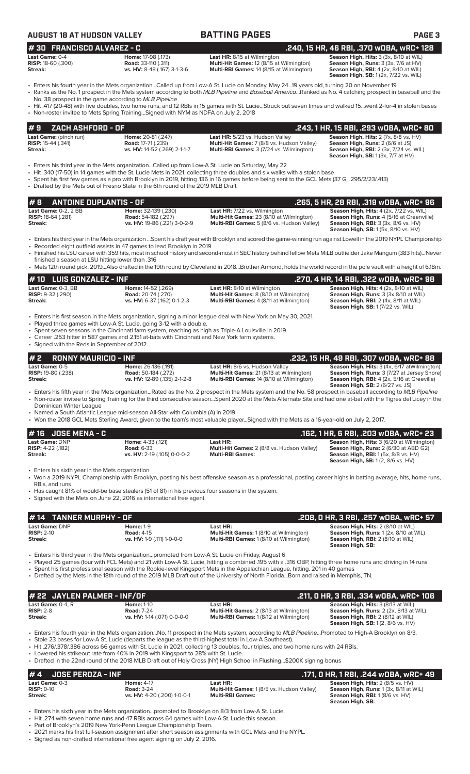| AUGUST 18 AT HUDSON VALLE' |
|----------------------------|
|----------------------------|

| <b>AUGUST 18 AT HUDSON VALLEY</b>                                  |                                                                                                                                                                                                                                                                                 | <b>BATTING PAGES</b>                                                                                                                                                                                                                                                                                                                                                                                                                                                        | <b>PAGE 3</b>                                                                                                                                                                         |
|--------------------------------------------------------------------|---------------------------------------------------------------------------------------------------------------------------------------------------------------------------------------------------------------------------------------------------------------------------------|-----------------------------------------------------------------------------------------------------------------------------------------------------------------------------------------------------------------------------------------------------------------------------------------------------------------------------------------------------------------------------------------------------------------------------------------------------------------------------|---------------------------------------------------------------------------------------------------------------------------------------------------------------------------------------|
| #30 FRANCISCO ALVAREZ - C                                          |                                                                                                                                                                                                                                                                                 |                                                                                                                                                                                                                                                                                                                                                                                                                                                                             | .240, 15 HR, 46 RBI, .370 WOBA, WRC+ 128                                                                                                                                              |
| Last Game: 0-4<br><b>RISP:</b> 18-60 (.300)<br>Streak:             | Home: 17-98 (.173)<br><b>Road: 33-110 (.311)</b><br>vs. HV: 8-48 (.167) 3-1-3-6                                                                                                                                                                                                 | Last HR: 8/15 at Wilmington<br>Multi-Hit Games: 12 (8/15 at Wilmington)<br>Multi-RBI Games: 14 (8/15 at Wilmington)                                                                                                                                                                                                                                                                                                                                                         | Season High, Hits: 3 (3x, 8/10 at WIL)<br>Season High, Runs: 3 (3x, 7/6 at HV)<br>Season High, RBI: 4 (2x, 8/10 at WIL)<br><b>Season High, SB:</b> 1 (2x, 7/22 vs. WIL)               |
|                                                                    | No. 38 prospect in the game according to MLB Pipeline                                                                                                                                                                                                                           | • Enters his fourth year in the Mets organizationCalled up from Low-A St. Lucie on Monday, May 2419 years old, turning 20 on November 19<br>· Ranks as the No. 1 prospect in the Mets system according to both MLB Pipeline and Baseball AmericaRanked as No. 4 catching prospect in baseball and the                                                                                                                                                                       |                                                                                                                                                                                       |
|                                                                    | • Non-roster invitee to Mets Spring Training Signed with NYM as NDFA on July 2, 2018                                                                                                                                                                                            | • Hit .417 (20-48) with five doubles, two home runs, and 12 RBIs in 15 games with St. LucieStruck out seven times and walked 15went 2-for-4 in stolen bases                                                                                                                                                                                                                                                                                                                 |                                                                                                                                                                                       |
| ZACH ASHFORD - OF<br>#9                                            |                                                                                                                                                                                                                                                                                 |                                                                                                                                                                                                                                                                                                                                                                                                                                                                             | .243, 1 HR, 15 RBI, .293 wOBA, wRC+ 80                                                                                                                                                |
| Last Game: (pinch run)<br><b>RISP:</b> 15-44 (.341)<br>Streak:     | Home: 20-81 (.247)<br><b>Road: 17-71 (.239)</b><br>vs. HV: 14-52 (.269) 2-1-1-7                                                                                                                                                                                                 | Last HR: 5/23 vs. Hudson Valley<br>Multi-Hit Games: 7 (8/8 vs. Hudson Valley)<br>Multi-RBI Games: 3 (7/24 vs. Wilmington)                                                                                                                                                                                                                                                                                                                                                   | Season High, Hits: 2 (7x, 8/8 vs. HV)<br>Season High, Runs: 2 (6/6 at JS)<br><b>Season High, RBI: 2 (3x, 7/24 vs. WIL)</b><br><b>Season High, SB: 1 (3x, 7/7 at HV)</b>               |
|                                                                    | Enters his third year in the Mets organizationCalled up from Low-A St. Lucie on Saturday, May 22<br>• Drafted by the Mets out of Fresno State in the 6th round of the 2019 MLB Draft                                                                                            | • Hit .340 (17-50) in 14 games with the St. Lucie Mets in 2021, collecting three doubles and six walks with a stolen base<br>• Spent his first few games as a pro with Brooklyn in 2019, hitting .136 in 16 games before being sent to the GCL Mets (37 G, .295/2/23/.413)                                                                                                                                                                                                  |                                                                                                                                                                                       |
| #8<br><b>ANTOINE DUPLANTIS - OF</b>                                |                                                                                                                                                                                                                                                                                 |                                                                                                                                                                                                                                                                                                                                                                                                                                                                             | .265, 5 HR, 28 RBI, .319 wOBA, wRC+ 96                                                                                                                                                |
| Last Game: 0-2, 2 BB<br><b>RISP:</b> 18-64 (.281)<br>Streak:       | Home: 32-139 (.230)<br><b>Road:</b> 54-182 (.297)<br>vs. HV: 19-86 (.221) 3-0-2-9                                                                                                                                                                                               | Last HR: 7/22 vs. Wilmington<br>Multi-Hit Games: 23 (8/10 at Wilmington)<br>Multi-RBI Games: 5 (8/6 vs. Hudson Valley)                                                                                                                                                                                                                                                                                                                                                      | Season High, Hits: 4 (2x, 7/22 vs. WIL)<br>Season High, Runs: 4 (5/16 at Greenville)<br><b>Season High, RBI:</b> 3 (3x, 8/6 vs. HV)<br><b>Season High, SB:</b> 1 (5x, 8/10 vs. HV)    |
|                                                                    | • Recorded eight outfield assists in 47 games to lead Brooklyn in 2019                                                                                                                                                                                                          | · Enters his third year in the Mets organization Spent his draft year with Brooklyn and scored the game-winning run against Lowell in the 2019 NYPL Championship<br>• Finished his LSU career with 359 hits, most in school history and second-most in SEC history behind fellow Mets MiLB outfielder Jake Mangum (383 hits)Never                                                                                                                                           |                                                                                                                                                                                       |
| finished a season at LSU hitting lower than .316                   |                                                                                                                                                                                                                                                                                 | • Mets 12th round pick, 2019Also drafted in the 19th round by Cleveland in 2018Brother Armond, holds the world record in the pole vault with a height of 6.18m.                                                                                                                                                                                                                                                                                                             |                                                                                                                                                                                       |
| #10 LUIS GONZALEZ - INF                                            |                                                                                                                                                                                                                                                                                 |                                                                                                                                                                                                                                                                                                                                                                                                                                                                             | .270, 4 HR, 14 RBI, .322 wOBA, wRC+ 98                                                                                                                                                |
| Last Game: 0-3, BB<br><b>RISP: 9-32 (.290)</b><br>Streak:          | Home: 14-52 (.269)<br><b>Road: 20-74 (.270)</b><br>vs. HV: 6-37 (.162) 0-1-2-3                                                                                                                                                                                                  | <b>Last HR: 8/10 at Wilmington</b><br>Multi-Hit Games: 8 (8/10 at Wilmington)<br>Multi-RBI Games: 4 (8/11 at Wilmington)                                                                                                                                                                                                                                                                                                                                                    | Season High, Hits: 4 (2x, 8/10 at WIL)<br><b>Season High, Runs:</b> 3 (3x 8/10 at WIL)<br>Season High, RBI: 2 (4x, 8/11 at WIL)<br><b>Season High, SB: 1 (7/22 vs. WIL)</b>           |
| • Signed with the Reds in September of 2012.                       | • Played three games with Low-A St. Lucie, going 3-12 with a double.<br>• Spent seven seasons in the Cincinnati farm system, reaching as high as Triple-A Louisville in 2019.<br>• Career .253 hitter in 587 games and 2,151 at-bats with Cincinnati and New York farm systems. | • Enters his first season in the Mets organization, signing a minor league deal with New York on May 30, 2021.                                                                                                                                                                                                                                                                                                                                                              |                                                                                                                                                                                       |
| #2<br><b>RONNY MAURICIO - INF</b>                                  |                                                                                                                                                                                                                                                                                 |                                                                                                                                                                                                                                                                                                                                                                                                                                                                             | .232, 15 HR, 49 RBI, .307 w0BA, wRC+ 88                                                                                                                                               |
| Last Game: 0-5<br>RISP: 19-80 (.238)<br>Streak:                    | Home: 26-136 (.191)<br>Road: 50-184 (.272)<br>vs. HV: 12-89 (.135) 2-1-2-8                                                                                                                                                                                                      | Last HR: 8/6 vs. Hudson Valley<br>Multi-Hit Games: 21 (8/13 at Wilmington)<br>Multi-RBI Games: 14 (8/10 at Wilmington)                                                                                                                                                                                                                                                                                                                                                      | Season High, Hits: 3 (4x, 6/17 atWilmington)<br>Season High, Runs: 3 (7/27 at Jersey Shore)<br>Season High, RBI: 4 (2x, 5/16 at Greeville)<br><b>Season High, SB:</b> 2 (6/27 vs. JS) |
| Dominican Winter League                                            | • Named a South Atlantic League mid-season All-Star with Columbia (A) in 2019                                                                                                                                                                                                   | • Enters his fifth year in the Mets organizationRated as the No. 2 prospect in the Mets system and the No. 58 prospect in baseball according to MLB Pipeline<br>• Non-roster invitee to Spring Training for the third consecutive seasonSpent 2020 at the Mets Alternate Site and had one at-bat with the Tigres del Licey in the<br>• Won the 2018 GCL Mets Sterling Award, given to the team's most valuable playerSigned with the Mets as a 16-year-old on July 2, 2017. |                                                                                                                                                                                       |
| <b>JOSE MENA - C</b><br>#16<br><b>Last Game: DNP</b>               | Home: 4-33 (.121)                                                                                                                                                                                                                                                               | Last HR:                                                                                                                                                                                                                                                                                                                                                                                                                                                                    | .162, 1 HR, 6 RBI, .203 w0BA, wRC+ 23<br>Season High, Hits: 3 (6/20 at Wilmington)                                                                                                    |
| <b>RISP:</b> 4-22 (.182)<br>Streak:                                | <b>Road: 6-33</b><br>vs. HV: 2-19 (.105) 0-0-0-2                                                                                                                                                                                                                                | Multi-Hit Games: 2 (8/8 vs. Hudson Valley)<br><b>Multi-RBI Games:</b>                                                                                                                                                                                                                                                                                                                                                                                                       | Season High, Runs: 2 (6/30 at ABD G2)<br>Season High, RBI: 1 (5x, 8/8 vs. HV)<br><b>Season High, SB:</b> 1(2, 8/6 vs. HV)                                                             |
| • Enters his sixth year in the Mets organization<br>RBIs, and runs | • Has caught 81% of would-be base stealers (51 of 81) in his previous four seasons in the system.                                                                                                                                                                               | • Won a 2019 NYPL Championship with Brooklyn, posting his best offensive season as a professional, posting career highs in batting average, hits, home runs,                                                                                                                                                                                                                                                                                                                |                                                                                                                                                                                       |
|                                                                    | • Signed with the Mets on June 22, 2016 as international free agent.                                                                                                                                                                                                            |                                                                                                                                                                                                                                                                                                                                                                                                                                                                             |                                                                                                                                                                                       |
| <b>TANNER MURPHY - OF</b><br>14                                    |                                                                                                                                                                                                                                                                                 |                                                                                                                                                                                                                                                                                                                                                                                                                                                                             | .208, 0 HR, 3 RBI, .257 wOBA, wRC+ 57                                                                                                                                                 |
| Last Game: DNP<br><b>RISP: 2-10</b><br>Streak:                     | <b>Home: 1-9</b><br><b>Road: 4-15</b><br>vs. HV: 1-9 (.111) 1-0-0-0                                                                                                                                                                                                             | Last HR:<br>Multi-Hit Games: 1 (8/10 at Wilmington)<br>Multi-RBI Games: 1 (8/10 at Wilmington)                                                                                                                                                                                                                                                                                                                                                                              | Season High, Hits: 2 (8/10 at WIL)<br>Season High, Runs: 1 (2x, 8/10 at WIL)<br>Season High, RBI: 2 (8/10 at WIL)<br>Season High, SB:                                                 |
|                                                                    | Enters his third year in the Mets organizationpromoted from Low-A St. Lucie on Friday, August 6                                                                                                                                                                                 | • Played 25 games (four with FCL Mets) and 21 with Low-A St. Lucie, hitting a combined 195 with a .316 OBP, hitting three home runs and driving in 14 runs<br>• Spent his first professional season with the Rookie-level Kingsport Mets in the Appalachian League, hitting. 201 in 40 games<br>• Drafted by the Mets in the 18th round of the 2019 MLB Draft out of the University of North FloridaBorn and raised in Memphis, TN.                                         |                                                                                                                                                                                       |
| # 22 JAYLEN PALMER - INF/OF                                        |                                                                                                                                                                                                                                                                                 |                                                                                                                                                                                                                                                                                                                                                                                                                                                                             | .211, 0 HR, 3 RBI, .334 wOBA, wRC+ 106                                                                                                                                                |
| Last Game: $0-4$ . R<br><b>RISP: 2-8</b><br>Streak:                | <b>Home: 1-10</b><br><b>Road: 7-24</b><br>vs. HV: 1-14 (.071) 0-0-0-0                                                                                                                                                                                                           | Last HR:<br>Multi-Hit Games: 2 (8/13 at Wilmington)<br>Multi-RBI Games: 1 (8/12 at Wilmington)                                                                                                                                                                                                                                                                                                                                                                              | Season High, Hits: 3 (8/13 at WIL)<br>Season High, Runs: 2 (2x, 8/13 at WIL)<br>Season High, RBI: 2 (8/12 at WIL)<br><b>Season High, SB:</b> 1(2, 8/6 vs. HV)                         |
|                                                                    |                                                                                                                                                                                                                                                                                 | • Enters his fourth year in the Mets organizationNo. 11 prospect in the Mets system, according to MLB PipelinePromoted to High-A Brooklyn on 8/3.<br>• Stole 23 bases for Low-A St. Lucie (departs the league as the third-highest total in Low-A Southeast).<br>• Hit .276/.378/.386 across 66 games with St. Lucie in 2021, collecting 13 doubles, four triples, and two home runs with 24 RBIs.                                                                          |                                                                                                                                                                                       |
|                                                                    | • Lowered his strikeout rate from 40% in 2019 with Kingsport to 28% with St. Lucie.                                                                                                                                                                                             | • Drafted in the 22nd round of the 2018 MLB Draft out of Holy Cross (NY) High School in Flushing\$200K signing bonus                                                                                                                                                                                                                                                                                                                                                        |                                                                                                                                                                                       |
| #4<br><b>JOSE PEROZA - INF</b>                                     |                                                                                                                                                                                                                                                                                 |                                                                                                                                                                                                                                                                                                                                                                                                                                                                             | .171, O HR, 1 RBI, .244 wOBA, wRC+ 49                                                                                                                                                 |
| Last Game: 0-3<br><b>RISP: 0-10</b><br>Streak:                     | <b>Home: 4-17</b><br><b>Road: 3-24</b><br>vs. HV: 4-20 (.200) 1-0-0-1                                                                                                                                                                                                           | Last HR:<br>Multi-Hit Games: 1 (8/5 vs. Hudson Valley)<br><b>Multi-RBI Games:</b>                                                                                                                                                                                                                                                                                                                                                                                           | Season High, Hits: 2 (8/5 vs. HV)<br>Season High, Runs: 1 (3x, 8/11 at WIL)<br>Season High, RBI: 1 (8/6 vs. HV)                                                                       |

• Enters his sixth year in the Mets organization...promoted to Brooklyn on 8/3 from Low-A St. Lucie.

• Hit .274 with seven home runs and 47 RBIs across 64 games with Low-A St. Lucie this season.

• Part of Brooklyn's 2019 New York-Penn League Championship Team.

• 2021 marks his first full-season assignment after short season assignments with GCL Mets and the NYPL.

**Season High, SB:** 

• Signed as non-drafted international free agent signing on July 2, 2016.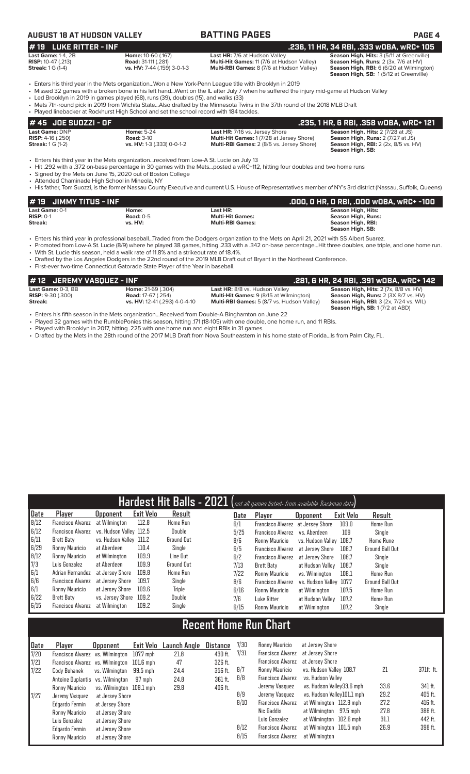# **AUGUST 18 AT HUDSON VALLEY BATTING PAGES PAGE 4**

### **Last Game:** 1-4, 2B **Home:** 10-60 (.167) **Last HR:** 7/6 at Hudson Valley **Season High, Hits:** 3 (5/11 at Greenville) **RISP:** 10-47 (.213) **Road:** 31-111 (.281) **Multi-Hit Games:** 11 (7/6 at Hudson Valley) **Season High, Runs:** 2 (3x, 7/6 at HV) **Star Games: 11, 213.**<br>**RISP:** 10-47 (.213) **Poad:** 31-111 (.281) **Multi-Hit Games:** 11 (7/6 at Hudson Valley) **Streak:** 1 G (1-4) **vs. HV:** 7-44 (.159) 3-0-1-3 **Multi-RBI Games:** 8 (7/6 at Hudson Valley)

**# 19 LUKE RITTER - INF**<br>
Last HR: 7/6 at Hudson Valley **.236, 11 HR, 34 RBI, .333 wOBA, wRC+ 105**<br>
RISP: 10-47 (.213) Road: 31-111 (.281) **Riseau: 31-111 (.281)** Multi-Hit Games: 11 (7/6 at Hudson Valley) Season High, Run

**Season High, Runs:** 2 (3x, 7/6 at HVI)<br>**Season High, Runs:** 2 (3x, 7/6 at HV)<br>**Season High, RBI:** 6 (6/20 at Wilmington)<br>**Season High, SB:** 1 (5/12 at Greenville)

• Enters his third year in the Mets organization...Won a New York-Penn League title with Brooklyn in 2019 • Missed 32 games with a broken bone in his left hand...Went on the IL after July 7 when he suffered the injury mid-game at Hudson Valley

• Led Brooklyn in 2019 in games played (68), runs (39), doubles (15), and walks (33)

- Mets 7th-round pick in 2019 from Wichita State...Also drafted by the Minnesota Twins in the 37th round of the 2018 MLB Draft
- Played linebacker at Rockhurst High School and set the school record with 184 tackles.

| # 45 JOE SUOZZI - OF           |                            |                                                  | .235, 1 HR, 6 RBI, .358 wOBA, wRC+ 121      |
|--------------------------------|----------------------------|--------------------------------------------------|---------------------------------------------|
| <b>Last Game: DNP</b>          | <b>Home: 5-24</b>          | Last HR: 7/16 vs. Jersey Shore                   | <b>Season High, Hits: 2 (7/28 at JS)</b>    |
| <b>RISP:</b> $4-16$ ( $.250$ ) | <b>Road: 3-10</b>          | <b>Multi-Hit Games: 1 (7/28 at Jersey Shore)</b> | <b>Season High, Runs:</b> 2 (7/27 at JS)    |
| <b>Streak:</b> $1 G (1-2)$     | vs. HV: 1-3 (.333) 0-0-1-2 | <b>Multi-RBI Games:</b> 2 (8/5 vs. Jersey Shore) | <b>Season High, RBI:</b> 2 (2x, 8/5 vs. HV) |
|                                |                            |                                                  | Season High, SB:                            |

• Enters his third year in the Mets organization...received from Low-A St. Lucie on July 13

• Hit .292 with a .372 on-base percentage in 30 games with the Mets...posted a wRC+112, hitting four doubles and two home runs

• Signed by the Mets on June 15, 2020 out of Boston College

- Attended Chaminade High School in Mineola, NY<br>• His father. Tom Suozzi, is the former Nassau Count
- His father, Tom Suozzi, is the former Nassau County Executive and current U.S. House of Representatives member of NY's 3rd district (Nassau, Suffolk, Queens)

| # 19 JIMMY TITUS - INF |             |                         | .000, 0 HR, 0 RBI, .000 w0BA, wRC+ -100 |
|------------------------|-------------|-------------------------|-----------------------------------------|
| Last Game: 0-1         | Home:       | Last HR:                | Season High, Hits:                      |
| $RISP: 0-1$            | Road: $0-5$ | <b>Multi-Hit Games:</b> | Season High, Runs:                      |
| Streak:                | vs. HV:     | <b>Multi-RBI Games:</b> | Season High, RBI:                       |
|                        |             |                         | Season High, SB:                        |

• Enters his third year in professional baseball...Traded from the Dodgers organization to the Mets on April 21, 2021 with SS Albert Suarez.

- Promoted from Low-A St. Lucie (8/9) where he played 38 games, hitting .233 with a .342 on-base percentage...Hit three doubles, one triple, and one home run. • With St. Lucie this season, held a walk rate of 11.8% and a strikeout rate of 18.4%.
- Drafted by the Los Angeles Dodgers in the 22nd round of the 2019 MLB Draft out of Bryant in the Northeast Conference.
- First-ever two-time Connecticut Gatorade State Player of the Year in baseball.

| #12 JEREMY VASOUEZ - INF |                               |                                                   | .281, 6 HR, 24 RBI, .391 wOBA, wRC+ 142       |
|--------------------------|-------------------------------|---------------------------------------------------|-----------------------------------------------|
| Last Game: 0-3. BB       | <b>Home: 21-69 (.304)</b>     | Last HR: 8/8 vs. Hudson Valley                    | <b>Season High, Hits: 2 (7x, 8/8 vs. HV)</b>  |
| <b>RISP:</b> 9-30 (.300) | <b>Road:</b> 17-67 (.254)     | <b>Multi-Hit Games:</b> 9 (8/15 at Wilmington)    | <b>Season High, Runs: 2 (3X 8/7 vs. HV)</b>   |
| Streak:                  | vs. HV: 12-41 (.293) 4-0-4-10 | <b>Multi-RBI Games:</b> 5 (8/7 vs. Hudson Valley) | <b>Season High, RBI:</b> 3 (2x, 7/24 vs. WIL) |
|                          |                               |                                                   | <b>Season High, SB: 1 (7/2 at ABD)</b>        |

- Enters his fifth season in the Mets organization...Received from Double-A Binghamton on June 22
- Played 32 games with the RumblePonies this season, hitting .171 (18-105) with one double, one home run, and 11 RBIs.
- Played with Brooklyn in 2017, hitting .225 with one home run and eight RBIs in 31 games.
- Drafted by the Mets in the 28th round of the 2017 MLB Draft from Nova Southeastern in his home state of Florida...Is from Palm City, FL.

|      |                                           |                         |                  |            |      | Hardest Hit Balls - 2021 (not all games listed- from available Trackman data) |                         |           |                        |
|------|-------------------------------------------|-------------------------|------------------|------------|------|-------------------------------------------------------------------------------|-------------------------|-----------|------------------------|
| Date | Player                                    | <b>Upponent</b>         | <b>Exit Velo</b> | Result     | Date | Player                                                                        | <b>Opponent</b>         | Exit Velo | Result                 |
| 8/12 | Francisco Alvarez                         | at Wilmington           | 112.8            | Home Run   | 6/1  | Francisco Alvarez at Jersey Shore                                             |                         | 109.0     | Home Run               |
| 6/12 | Francisco Alvarez vs. Hudson Valley 112.5 |                         |                  | Double     | 5/25 | Francisco Alvarez                                                             | vs. Aberdeen            | 109       | Single                 |
| 6/11 | Brett Baty                                | vs. Hudson Valley 111.2 |                  | Ground Out | 8/6  | Ronny Mauricio                                                                | vs. Hudson Valley 108.7 |           | Home Rune              |
| 6/29 | Ronny Mauricio                            | at Aberdeen             | 110.4            | Single     | 6/5  | <b>Francisco Alvarez</b>                                                      | at Jersev Shore         | 108.7     | <b>Ground Ball Out</b> |
| 8/12 | Ronny Mauricio                            | at Wilmington           | 109.9            | Line Out   | 6/2  | Francisco Alvarez                                                             | at Jersev Shore         | 108.7     | Single                 |
| 7/3  | Luis Gonzalez                             | at Aberdeen             | 109.9            | Ground Out | 7/13 | Brett Baty                                                                    | at Hudson Valley        | 108.7     | Sinale                 |
| 6/1  | Adrian Hernandez                          | at Jersev Shore         | 109.8            | Home Run   | 7/22 | Ronny Mauricio                                                                | vs. Wilmington          | 108.1     | <b>Home Run</b>        |
| 6/6  | Francisco Alvarez                         | at Jersev Shore         | 109.7            | Single     | 8/6  | <b>Francisco Alvarez</b>                                                      | vs. Hudson Valley 107.7 |           | <b>Ground Ball Out</b> |
| 6/1  | Ronny Mauricio                            | at Jersev Shore         | 109.6            | Triple     | 6/16 | Ronny Mauricio                                                                | at Wilmington           | 107.5     | <b>Home Run</b>        |
| 6/22 | Brett Baty                                | vs. Jersey Shore        | 109.2            | Double     | 7/6  | Luke Ritter                                                                   | at Hudson Valley        | 107.2     | <b>Home Run</b>        |
| 6/15 | Francisco Alvarez                         | at Wilmington           | 109.2            | Single     | 6/15 | Ronny Mauricio                                                                | at Wilmington           | 107.2     | Single                 |

# **Recent Home Run Chart**

| Date | Player                                     | <b>Opponent</b>          | Exit Velo | Launch Angle | Distance | 7/30 | <b>Ronny Mauricio</b>    | at Jersev Shore            |      |           |
|------|--------------------------------------------|--------------------------|-----------|--------------|----------|------|--------------------------|----------------------------|------|-----------|
| 7/20 | Francisco Alvarez vs. Wilmington           |                          | 107.7 mph | 21.8         | 430 ft.  | 7/31 | Francisco Alvarez        | at Jersev Shore            |      |           |
| 7/21 | Francisco Alvarez vs. Wilmington 101.6 mph |                          |           | 47           | 326 ft.  |      | Francisco Alvarez        | at Jersev Shore            |      |           |
| 7/22 | Cody Bohanek                               | vs. Wilminaton           | 99.5 mph  | 24.4         | 356 ft.  | 8/7  | Ronny Mauricio           | vs. Hudson Valley 108.7    | 21   | 371ft ft. |
|      | Antoine Duplantis vs. Wilmington           |                          | 97 mph    | 24.8         | 361 ft.  | 8/8  | <b>Francisco Alvarez</b> | vs. Hudson Vallev          |      |           |
|      | Ronny Mauricio                             | vs. Wilminaton 108.1 mph |           | 29.8         | 406 ft.  |      | Jeremy Vasquez           | vs. Hudson Valley93.6 mph  | 33.6 | 341 ft.   |
| 1/27 | Jeremy Vasquez                             | at Jersey Shore          |           |              |          | 8/9  | Jeremy Vasquez           | vs. Hudson Valley101.1 mph | 29.2 | 405 ft.   |
|      | Edgardo Fermin                             | at Jersey Shore          |           |              |          | 8/10 | <b>Francisco Alvarez</b> | at Wilmington 112.8 mph    | 27.2 | 416 ft.   |
|      | Ronny Mauricio                             | at Jersey Shore          |           |              |          |      | Nic Gaddis               | at Wilmington 97.5 mph     | 27.8 | 388 ft.   |
|      | Luis Gonzalez                              | at Jersey Shore          |           |              |          |      | Luis Gonzalez            | at Wilmington 102.6 mph    | 31.1 | 442 ft.   |
|      | Edgardo Fermin                             | at Jersey Shore          |           |              |          | 8/12 | <b>Francisco Alvarez</b> | at Wilmington 101.5 mph    | 26.9 | 398 ft.   |
|      | Ronny Mauricio                             | at Jersey Shore          |           |              |          | 8/15 | <b>Francisco Alvarez</b> | at Wilmington              |      |           |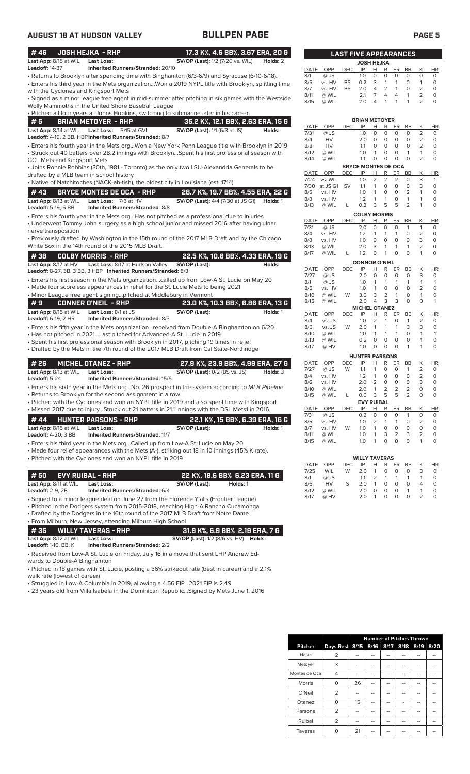| #46                                     | <b>JOSH HEJKA - RHP</b>                                                                                                                               | 17.3 K%, 4.6 BB%, 3.67 ERA, 20 G                                                                                                                                                                   |          |
|-----------------------------------------|-------------------------------------------------------------------------------------------------------------------------------------------------------|----------------------------------------------------------------------------------------------------------------------------------------------------------------------------------------------------|----------|
| Last App: 8/15 at WIL                   | <b>Last Loss:</b>                                                                                                                                     | <b>SV/OP (Last):</b> 1/2 (7/20 vs. WIL)                                                                                                                                                            | Holds: 2 |
| <b>Leadoff: 14-37</b>                   | Inherited Runners/Stranded: 20/10                                                                                                                     |                                                                                                                                                                                                    |          |
| with the Cyclones and Kingsport Mets    |                                                                                                                                                       | • Returns to Brooklyn after spending time with Binghamton (6/3-6/9) and Syracuse (6/10-6/18).<br>Enters his third year in the Mets organizationWon a 2019 NYPL title with Brooklyn, splitting time |          |
|                                         | Wolly Mammoths in the United Shore Baseball League                                                                                                    | • Signed as a minor league free agent in mid-summer after pitching in six games with the Westside                                                                                                  |          |
|                                         |                                                                                                                                                       | • Pitched all four years at Johns Hopkins, switching to submarine later in his career.                                                                                                             |          |
| #5                                      | <b>BRIAN METOYER - RHP</b>                                                                                                                            | 35.2 K%, 12.1 BB%, 2.63 ERA, 15 G                                                                                                                                                                  |          |
| Last App: 8/14 at WIL                   | <b>Last Loss:</b><br>5/15 at GVL<br>Leadoff: 4-19, 2 BB, HBP Inherited Runners/Stranded: 8/7                                                          | <b>SV/OP (Last):</b> 1/1 (6/3 at JS)                                                                                                                                                               | Holds:   |
| GCL Mets and Kingsport Mets             |                                                                                                                                                       | Enters his fourth year in the Mets orgWon a New York Penn League title with Brooklyn in 2019<br>Struck out 40 batters over 28.2 innings with BrooklynSpent his first professional season with •    |          |
| drafted by a MLB team in school history |                                                                                                                                                       | • Joins Ronnie Robbins (30th, 1981 - Toronto) as the only two LSU-Alexandria Generals to be                                                                                                        |          |
|                                         | • Native of Natchitoches (NACK-ah-tish), the oldest city in Louisiana (est. 1714).                                                                    |                                                                                                                                                                                                    |          |
| #43                                     | <b>BRYCE MONTES DE OCA - RHP</b>                                                                                                                      | 28.7 K%, 19.7 BB%, 4.55 ERA, 22 G                                                                                                                                                                  |          |
| Last App: 8/13 at WIL                   | Last Loss: 7/6 at HV                                                                                                                                  | <b>SV/OP (Last):</b> 4/4 (7/30 at JS G1) <b>Holds:</b> 1                                                                                                                                           |          |
| Leadoff: 5-19, 5 BB                     | <b>Inherited Runners/Stranded: 8/8</b>                                                                                                                | • Enters his fourth year in the Mets orgHas not pitched as a professional due to injuries<br>• Underwent Tommy John surgery as a high school junior and missed 2016 after having ulnar             |          |
| nerve transposition                     |                                                                                                                                                       |                                                                                                                                                                                                    |          |
|                                         | White Sox in the 14th round of the 2015 MLB Draft.                                                                                                    | • Previously drafted by Washington in the 15th round of the 2017 MLB Draft and by the Chicago                                                                                                      |          |
| #38                                     | <b>COLBY MORRIS - RHP</b>                                                                                                                             | 22.5 K%, 10.6 BB%, 4.33 ERA, 19 G                                                                                                                                                                  |          |
| Last App: 8/17 at HV                    | Last Loss: 8/17 at Hudson Valley                                                                                                                      | SV/OP (Last):                                                                                                                                                                                      | Holds:   |
|                                         | Leadoff: 8-27, 3B, 3 BB, 3 HBP Inherited Runners/Stranded: 8/3                                                                                        | · Enters his first season in the Mets organizationcalled up from Low-A St. Lucie on May 20                                                                                                         |          |
|                                         | • Made four scoreless appearances in relief for the St. Lucie Mets to being 2021<br>. Minor League free agent signingpitched at Middlebury in Vermont |                                                                                                                                                                                                    |          |
| #9                                      | CONNER O'NEIL  - RHP                                                                                                                                  | 23.0 K%, 10.3 BB%, 6.86 ERA, 13 G                                                                                                                                                                  |          |
| Last App: 8/15 at WIL                   | Last Loss: 8/1 at JS                                                                                                                                  | SV/OP (Last):                                                                                                                                                                                      | Holds: 1 |
| <b>Leadoff:</b> 6-19, 2 HR              | Inherited Runners/Stranded: 8/3                                                                                                                       |                                                                                                                                                                                                    |          |
|                                         |                                                                                                                                                       | • Enters his fifth year in the Mets organizationreceived from Double-A Binghamton on 6/20                                                                                                          |          |
|                                         | • Has not pitched in 2021Last pitched for Advanced-A St. Lucie in 2019                                                                                | • Spent his first professional season with Brooklyn in 2017, pitching 19 times in relief                                                                                                           |          |
|                                         |                                                                                                                                                       | • Drafted by the Mets in the 7th round of the 2017 MLB Draft from Cal State-Northridge                                                                                                             |          |
| # 26                                    | <b>MICHEL OTANEZ - RHP</b>                                                                                                                            |                                                                                                                                                                                                    |          |
| Last App: 8/13 at WIL                   | <b>Last Loss:</b>                                                                                                                                     | 27.9 K%, 23.9 BB%, 4.99 ERA, 27 G<br><b>SV/OP (Last): 0/2 (BS vs. JS)</b>                                                                                                                          | Holds: 3 |
| Leadoff: 5-24                           | Inherited Runners/Stranded: 15/5                                                                                                                      |                                                                                                                                                                                                    |          |
|                                         |                                                                                                                                                       | · Enters his sixth year in the Mets orgNo. 26 prospect in the system according to MLB Pipeline                                                                                                     |          |
|                                         | • Returns to Brooklyn for the second assignment in a row                                                                                              | • Pitched with the Cyclones and won an NYPL title in 2019 and also spent time with Kingsport                                                                                                       |          |
|                                         |                                                                                                                                                       | • Missed 2017 due to injuryStruck out 21 batters in 21.1 innings with the DSL Mets1 in 2016.                                                                                                       |          |
| #44                                     | <b>HUNTER PARSONS - RHP</b>                                                                                                                           | 22.1 K%, 15 BB%, 6.39 ERA, 16 G                                                                                                                                                                    |          |
| Last App: 8/15 at WIL                   | <b>Last Loss:</b>                                                                                                                                     | SV/OP (Last):                                                                                                                                                                                      | Holds: 1 |
| <b>Leadoff:</b> 4-20, 3 BB              | <b>Inherited Runners/Stranded: 11/7</b>                                                                                                               |                                                                                                                                                                                                    |          |
|                                         | · Enters his third year in the Mets orgCalled up from Low-A St. Lucie on May 20                                                                       |                                                                                                                                                                                                    |          |
|                                         | • Pitched with the Cyclones and won an NYPL title in 2019                                                                                             | • Made four relief appearances with the Mets (A-), striking out 18 in 10 innings (45% K rate).                                                                                                     |          |
|                                         |                                                                                                                                                       |                                                                                                                                                                                                    |          |
| #50                                     | <b>EVY RUIBAL - RHP</b>                                                                                                                               | 22 K%, 18.6 BB% 6.23 ERA, 11 G                                                                                                                                                                     |          |
| Last App: 8/11 at WIL                   | Last Loss:                                                                                                                                            | SV/OP (Last):<br>Holds: 1                                                                                                                                                                          |          |
| <b>Leadoff: 2-9, 2B</b>                 | <b>Inherited Runners/Stranded: 6/4</b>                                                                                                                |                                                                                                                                                                                                    |          |
|                                         |                                                                                                                                                       | · Signed to a minor league deal on June 27 from the Florence Y'alls (Frontier League)<br>• Pitched in the Dodgers system from 2015-2018, reaching High-A Rancho Cucamonga                          |          |
|                                         |                                                                                                                                                       | • Drafted by the Dodgers in the 16th round of the 2017 MLB Draft from Notre Dame                                                                                                                   |          |
|                                         | • From Milburn, New Jersey, attending Milburn High School                                                                                             |                                                                                                                                                                                                    |          |
| #35                                     | <b>WILLY TAVERAS - RHP</b>                                                                                                                            | 31.9 K%, 6.9 BB% 2.19 ERA, 7 G                                                                                                                                                                     |          |
| Last App: 8/12 at WIL                   | <b>Last Loss:</b><br><b>Inherited Runners/Stranded: 2/2</b>                                                                                           | <b>SV/OP (Last):</b> 1/2 (8/6 vs. HV) <b>Holds:</b>                                                                                                                                                |          |
|                                         |                                                                                                                                                       |                                                                                                                                                                                                    |          |
| <b>Leadoff:</b> 1-10, BB, K             |                                                                                                                                                       | • Received from Low-A St. Lucie on Friday, July 16 in a move that sent LHP Andrew Ed-                                                                                                              |          |

wards to Double-A Binghamton • Pitched in 18 games with St. Lucie, posting a 36% strikeout rate (best in career) and a 2.1%

walk rate (lowest of career)

• Struggled in Low-A Columbia in 2019, allowing a 4.56 FIP...2021 FIP is 2.49

• 23 years old from Villa Isabela in the Dominican Republic...Signed by Mets June 1, 2016

### **LAST FIVE APPEARANCES MICHEL OTANEZ** E OPP DEC IP H R ER BB K HR<br>vs. JS 1.0 2 1 0 1 2 0 vs. JS 1.0 2 1 0 1 2 0<br>vs. JS W 2.0 1 1 1 3 3 0 vs. JS W 2.0 1 1 1 3<br>@ WIL 1.0 1 1 1 0 8/10 @ WIL 1.0 1 1 1 0 1 1 8<br>8 WIL 0.2 0 0 0 0 1 0<br>8 HV 1.0 0 0 0 1 1 0 8/17 @ HV 1.0 0 0 0 1 1 0 **BRIAN METOYER** <u>E OPP DEC IP H R ER BB K HR<br>@JS 1.0 0 0 0 0 2 0</u> 7/31 @ JS 1.0 0 0 0 0 2 0 8/4 HV 2.0 0 0 0 0 2 0 8/8 HV 1.1 0 0 0 0 2 0 8/12 @ WIL 1.0 1 0 0 1 1 0  $@$  WIL **BRYCE MONTES DE OCA**<br>DEC IP H R ER BB E OPP DEC IP H R ER BB K HR<br>
U vs. WIL 1.0 2 2 2 0 3 1<br>
at JS G1 SV 1.1 1 0 0 0 3 0 7/24 vs. WIL 1.0 2 2 2 0 3 1 7/30 at JS G1 SV 1.1 1 0 0 0 3 0 vs. HV 1.0 1 0 0 2 1 0<br>vs. HV 1.2 1 1 0 1 1 0 vs. HV 1.2 1 1 0 1 1 0<br>
@ WIL L 0.2 3 5 5 2 1 0 8/13 @ WIL L 0.2 3 5 5 2 1 0 **COLBY MORRIS**<br>
<u>IP H R ER</u><br>
2.0 0 0 0 E OPP DEC IP H R ER BB K HR<br>@ JS 2.0 0 0 0 1 1 0 7/31 @ JS 2.0 0 0 0 1 1 0 8/4 vs. HV 1.2 1 1 1 0 2 0 8/8 vs. HV 1.0 0 0 0 0 3 0 8<br>
8 WIL 2.0 3 1 1 1 2 0<br>
8 WIL L 1.2 0 1 0 0 1 0  $@$  WIL **CONNOR O'NEIL** E OPP DEC IP H R ER BB K HR<br>
7 @ JS 2.0 0 0 0 0 3 0<br>
@ JS 1.0 1 1 1 1 1 1 7/27 @ JS 2.0 0 0 0 0 3 0 8/1 @ JS 1.0 1 1 1 1 1 1 vs. HV 1.0 1 0 0 0 2 0<br>
@ WIL W 3.0 3 2 1 0 1 0<br>
@ WIL 2.0 4 3 3 0 0 1 8/10 @ WIL W 3.0 3 2 1 0 1 0 8/15 @ WIL 2.0 4 3 3 0 0 1 **JOSH HEJKA**<br> **IP** H R E OPP DEC IP H R ER BB K HR<br>
@ JS 1.0 0 0 0 0 0 0<br>
vs. HV BS 0.2 3 1 1 0 1 0 8/1 @ JS 1.0 0 0 0 0 0 0 vs. HV BS 0.2 3 1 1 0 1 0<br>vs. HV BS 2.0 4 2 1 0 2 0<br>@ WIL 2.1 7 4 4 1 2 0<br>@ WIL 2.0 4 1 1 1 2 0 vs. HV BS 2.0 4 2 1 0<br>
@ WIL 2.1 7 4 4 1<br>
@ WIL 2.0 4 1 1 1  $@$  WIL 8/15 @ WIL 2.0 4 1 1 1 2 0

| <b>HUNTER PARSONS</b> |        |     |                   |                |          |          |                |                |           |
|-----------------------|--------|-----|-------------------|----------------|----------|----------|----------------|----------------|-----------|
| DATE                  | OPP    | DEC | IP                | н              | R        | ER       | <b>BB</b>      | Κ              | <b>HR</b> |
| 7/27                  | $@$ JS | W   | 1.1               | 1              | 0        | O        | 1              | $\overline{2}$ | $\Omega$  |
| 8/4                   | vs. HV |     | 1.2               | 1              | 0        | O        | O              | 2              | $\Omega$  |
| 8/6                   | vs. HV |     | 2.0               | 2              | 0        | 0        | 0              | 3              | 0         |
| 8/10                  | @ WIL  |     | 2.0               | 1              | 2        | 2        | 2              | $\Omega$       | $\Omega$  |
| 8/15                  | @ WIL  | L   | 0.0               | 3              | 5        | 5        | $\overline{2}$ | 0              | $\Omega$  |
|                       |        |     | <b>EVY RUIBAL</b> |                |          |          |                |                |           |
| DATE                  | OPP    | DEC | IP                | н              | R        | ER       | <b>BB</b>      | Κ              | <b>HR</b> |
| 7/31                  | @ JS   |     | 0.2               | $\Omega$       | 0        | O        | 1              | $\Omega$       | $\Omega$  |
| 8/5                   | vs. HV |     | 1.0               | $\overline{2}$ | 1        | 1        | O              | $\overline{2}$ | $\Omega$  |
| 8/7                   | vs. HV | W   | 1.0               | 1              | $\Omega$ | $\Omega$ | O              | $\Omega$       | $\Omega$  |
| 8/11                  | @ WIL  |     | 1.0               | 1              | 3        | 2        | 3              | 2              | $\Omega$  |
|                       |        |     |                   |                |          |          |                |                |           |
| 8/15                  | @ WIL  |     | 1.0               |                | ი        | ი        | 0              | 1              | 0         |

|      |           |            | <b>WILLY TAVERAS</b> |               |   |           |           |   |           |
|------|-----------|------------|----------------------|---------------|---|-----------|-----------|---|-----------|
| DATE | OPP       | <b>DEC</b> | IP                   | н             | R | <b>ER</b> | <b>BB</b> | K | <b>HR</b> |
| 7/25 | WIL       | W          | 2.0                  | 1             | 0 | 0         | 0         | З | O         |
| 8/1  | $@$ JS    |            | 1.1                  | $\mathcal{L}$ | 1 |           |           |   | O         |
| 8/6  | <b>HV</b> | S          | 2.0                  | 1             | O | 0         | O         | Δ | O         |
| 8/12 | @ WIL     |            | 2.0                  | O             | O | O         | 1         |   | O         |
| 8/17 | @ HV      |            | 2.0                  |               | O | Ω         | O         |   |           |

|                |                               |    | <b>Number of Pitches Thrown</b> |   |      |      |
|----------------|-------------------------------|----|---------------------------------|---|------|------|
| <b>Pitcher</b> | Days Rest 8/15 8/16 8/17 8/18 |    |                                 |   | 8/19 | 8/20 |
| Hejka          | 2                             |    |                                 |   |      |      |
| Metoyer        | 3                             | -- | --                              |   |      |      |
| Montes de Oca  | 4                             |    |                                 |   |      |      |
| <b>Morris</b>  | 0                             | 26 | --                              |   |      |      |
| O'Neil         | $\overline{2}$                |    |                                 |   |      |      |
| Otanez         | 0                             | 15 |                                 | - |      | --   |
| Parsons        | $\overline{2}$                |    |                                 |   |      |      |
| Ruibal         | 2                             |    |                                 |   | --   |      |
| Taveras        |                               | 21 |                                 |   |      |      |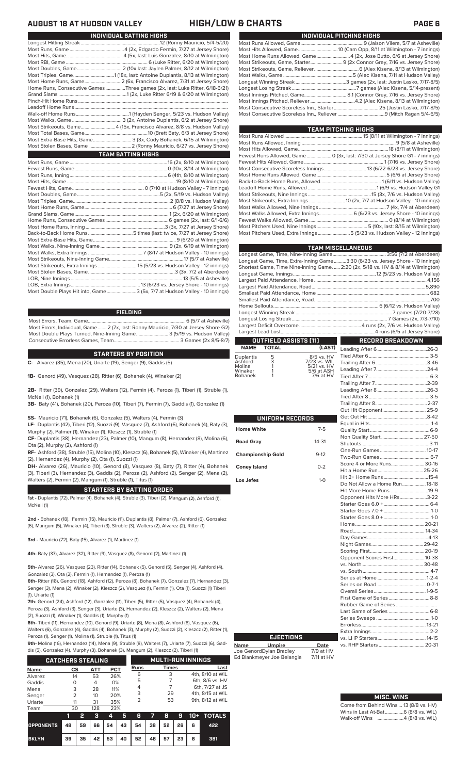## **AUGUST 18 AT HUDSON VALLEY HIGH/LOW & CHARTS PAGE 6**

| INDIVIDUAL BATTING HIGHS                                                    |
|-----------------------------------------------------------------------------|
|                                                                             |
|                                                                             |
|                                                                             |
|                                                                             |
|                                                                             |
|                                                                             |
|                                                                             |
| Home Runs, Consecutive Games Three games (2x, last: Luke Ritter, 6/18-6/21) |
|                                                                             |
|                                                                             |
|                                                                             |
|                                                                             |
|                                                                             |
| Most Strikeouts, Game4 (15x, Francisco Alvarez, 8/8 vs. Hudson Valley)      |
|                                                                             |
| Most Extra-Base Hits, Game 3 (3x, Cody Bohanek, 6/15 at Wilmington)         |
|                                                                             |
| <b>TEAM BATTING HIGHS</b>                                                   |
|                                                                             |
|                                                                             |
|                                                                             |
|                                                                             |
|                                                                             |
|                                                                             |
|                                                                             |
|                                                                             |
|                                                                             |
|                                                                             |
|                                                                             |
|                                                                             |
|                                                                             |
|                                                                             |

| Most Strikeouts, Extra Innings 15 (5/23 vs. Hudson Valley - 12 innings)   |
|---------------------------------------------------------------------------|
|                                                                           |
|                                                                           |
|                                                                           |
| Most Double Plays Hit into, Game3 (5x, 7/7 at Hudson Valley - 10 innings) |

### **FIELDING**

Most Errors, Team, Game...............................................................................6 (5/7 at Asheville) Most Errors, Individual, Game....... 2 (7x, last: Ronny Mauricio, 7/30 at Jersey Shore G2) Most Double Plays Turned, Nine-Inning Game.......................... 3 (5/19 vs. Hudson Valley) Consecutive Errorless Games, Team...

### **STARTERS BY POSITION**

**C-** Alvarez (35), Mena (20), Uriarte (19), Senger (9), Gaddis (5)

**1B-** Genord (49), Vasquez (28), Ritter (6), Bohanek (4), Winaker (2)

**2B-** Ritter (39), Gonzalez (29), Walters (12), Fermin (4), Peroza (1), Tiberi (1), Struble (1), McNeil (1), Bohanek (1)

**3B-** Baty (41), Bohanek (20), Peroza (10), Tiberi (7), Fermin (7), Gaddis (1), Gonzalez (1)

**SS-** Mauricio (71), Bohanek (6), Gonzalez (5), Walters (4), Fermin (3)

**LF-** Duplantis (42), Tiberi (12), Suozzi (9), Vasquez (7), Ashford (6), Bohanek (4), Baty (3), Murphy (2), Palmer (1), Winaker (1), Kleszcz (1), Struble (1)

**CF-** Duplantis (38), Hernandez (23), Palmer (10), Mangum (8), Hernandez (8), Molina (6), Ota (2), Murphy (2), Ashford (1)

**RF-** Ashford (38), Struble (15), Molina (10), Kleszcz (6), Bohanek (5), Winaker (4), Martinez (2), Hernandez (4), Murphy (2), Ota (1), Suozzi (1)

**DH-** Alvarez (26), Mauricio (10), Genord (8), Vasquez (8), Baty (7), Ritter (4), Bohanek (3), Tiberi (3), Hernandez (3), Gaddis (2), Peroza (2), Ashford (2), Senger (2), Mena (2), Walters (2), Fermin (2), Mangum (1), Struble (1), Titus (1)

### **STARTERS BY BATTING ORDER**

**1st -** Duplantis (72), Palmer (4). Bohanek (4), Struble (3), Tiberi (2), Mangum (2), Ashford (1), McNeil (1)

**2nd -** Bohanek (18), Fermin (15), Mauricio (11), Duplantis (8), Palmer (7), Ashford (6), Gonzalez (6), Mangum (5), Winaker (4), Tiberi (3), Struble (3), Walters (2), Alvarez (2), Ritter (1)

**3rd -** Mauricio (72), Baty (15), Alvarez (1), Martinez (1)

**4th-** Baty (37), Alvarez (32), Ritter (9), Vasquez (8), Genord (2), Martinez (1)

**5th-** Alvarez (26), Vasquez (23), Ritter (14), Bohanek (5), Genord (5), Senger (4), Ashford (4), Gonzalez (3), Ota (2), Fermin (1), Hernandez (1), Peroza (1)

**6th-** Ritter (18), Genord (18), Ashford (12), Peroza (8), Bohanek (7), Gonzalez (7), Hernandez (3), Senger (3), Mena (2), Winaker (2), Kleszcz (2), Vasquez (1), Fermin (1), Ota (1), Suozzi (1) Tiber (1), Uriarte (1)

**7th-** Genord (24), Ashford (12), Gonzalez (11), Tiberi (5), Ritter (5), Vasquez (4), Bohanek (4), Peroza (3), Ashford (3), Senger (3), Uriarte (3), Hernandez (2), Kleszcz (2), Walters (2), Me (2), Suozzi (1), Winaker (1), Gaddis (1), Murphy (1)

**8th-** Tiberi (11), Hernandez (10), Genord (9), Uriarte (8), Mena (8), Ashford (8), Vasquez (6), Walters (6), Gonzalez (4), Gaddis (4), Bohanek (3), Murphy (2), Suozzi (2), Kleszcz (2), Ritter (1), Peroza (1), Senger (1), Molina (1), Struble (1), Titus (1)

**9th-** Molina (16), Hernandez (14), Mena (9), Struble (8), Walters (7), Uriarte (7), Suozzi (6), Gad-

dis (5), Gonzalez (4), Murphy (3), Bohanek (3), Mangum (2), Kleszcz (2), Tiberi (1)

|             | <b>CATCHERS STEALING</b> |            |            | <b>MULTI-RUN INNINGS</b> |              |                  |  |  |
|-------------|--------------------------|------------|------------|--------------------------|--------------|------------------|--|--|
| <b>Name</b> | CS                       | <b>ATT</b> | <b>PCT</b> | <b>Runs</b>              | <b>Times</b> | Last             |  |  |
| Alvarez     | 14                       | 53         | 26%        | 6                        | 3            | 4th, 8/10 at WIL |  |  |
| Gaddis      | O                        | 4          | 0%         | 5                        |              | 6th, 8/6 vs. HV  |  |  |
| Mena        | 3                        | 28         | 11%        | 4                        |              | 6th, 7/27 at JS  |  |  |
| Senger      | 2                        | 10         | 20%        | 3                        | 29           | 4th, 8/15 at WIL |  |  |
| Uriarte     | 11                       | 31         | 35%        | 2                        | 53           | 9th, 8/12 at WIL |  |  |
| Team        | 30                       | 128        | 23%        |                          |              |                  |  |  |

| .                | .  |    | . | ----- |    |                                  |       |   |   |                     |
|------------------|----|----|---|-------|----|----------------------------------|-------|---|---|---------------------|
|                  |    |    |   |       | 45 |                                  | 6 7 a | 8 |   | <b>9 10+ TOTALS</b> |
| <b>OPPONENTS</b> | 48 |    |   |       |    | 59 66 54 43 54 38 52 26 6        |       |   |   | 422                 |
| <b>BKLYN</b>     | 39 | 35 |   |       |    | 42   53   40   52   46   57   23 |       |   | 6 | 381                 |

| INDIVIDUAL PITCHING HIGHS |                                                                     |  |  |  |  |  |  |
|---------------------------|---------------------------------------------------------------------|--|--|--|--|--|--|
|                           |                                                                     |  |  |  |  |  |  |
|                           |                                                                     |  |  |  |  |  |  |
|                           | Most Home Runs Allowed, Game4 (2x, Jose Butto, 6/6 at Jersey Shore) |  |  |  |  |  |  |
|                           |                                                                     |  |  |  |  |  |  |
|                           |                                                                     |  |  |  |  |  |  |
|                           |                                                                     |  |  |  |  |  |  |
|                           |                                                                     |  |  |  |  |  |  |
|                           |                                                                     |  |  |  |  |  |  |
|                           |                                                                     |  |  |  |  |  |  |
|                           |                                                                     |  |  |  |  |  |  |
|                           |                                                                     |  |  |  |  |  |  |
|                           |                                                                     |  |  |  |  |  |  |

**TEAM PITCHING HIGHS**

| <b>EAM FILGRING RIGHS</b>                                                   |  |
|-----------------------------------------------------------------------------|--|
|                                                                             |  |
|                                                                             |  |
|                                                                             |  |
| Fewest Runs Allowed, Game 0 (3x, last: 7/30 at Jersey Shore G1 - 7 innings) |  |
|                                                                             |  |
|                                                                             |  |
|                                                                             |  |
|                                                                             |  |
|                                                                             |  |
|                                                                             |  |
|                                                                             |  |
|                                                                             |  |
|                                                                             |  |
|                                                                             |  |
|                                                                             |  |
| Most Pitchers Used, Extra Innings 5 (5/23 vs. Hudson Valley - 12 innings)   |  |
|                                                                             |  |

| <b>TEAM MISCELLANEOUS</b>                                                          |  |
|------------------------------------------------------------------------------------|--|
|                                                                                    |  |
| Longest Game, Time, Extra-Inning Game3:30 (6/23 vs. Jersey Shore - 10 innings)     |  |
| Shortest Game, Time Nine-Inning Game.  2:20 (2x, 5/18 vs. HV & 8/14 at Wilmington) |  |
|                                                                                    |  |
|                                                                                    |  |
|                                                                                    |  |
|                                                                                    |  |
|                                                                                    |  |
|                                                                                    |  |
|                                                                                    |  |
|                                                                                    |  |
|                                                                                    |  |
|                                                                                    |  |
|                                                                                    |  |

# **OUTFIELD AS**<br>NAME TOTAL **TOTAL** 8/5 vs. HV<br>7/23 vs. WIL<br>5/21 vs. HV<br>5/6 at ASH

| ၪ | $O/O$ vs. $\Pi V$ |
|---|-------------------|
| 3 | 7/23 vs. WIL      |
|   | $5/21$ vs. $HV$   |
|   | 5/6 at ASH        |
|   | 7/6 at HV         |
|   |                   |

| UNIFORM RECORDS          |         | C<br>G                                                                              |
|--------------------------|---------|-------------------------------------------------------------------------------------|
| <b>Home White</b>        | $7 - 5$ | E<br>G                                                                              |
| <b>Road Gray</b>         | 14-31   | N<br>S                                                                              |
| <b>Championship Gold</b> | $9-12$  | $\circ$<br>T                                                                        |
| <b>Coney Island</b>      | $0 - 2$ | S<br>Н                                                                              |
| Los Jefes                | $1-0$   | Н<br>D                                                                              |
|                          |         | Н<br>C<br>S<br>S<br>S<br>Н<br>R<br>D<br>N<br>S<br>C<br>V.<br>V.<br>S<br>S<br>C<br>F |
|                          |         | R<br>L,<br>S<br>E                                                                   |
|                          |         |                                                                                     |

**Name Umpire Date** Joe GenordDylan Bradley 7/9 at HV Ed Blankmeyer Joe Belangia 7/11 at HV

**EJECTIONS**

### **RECORD BREAKDOWN** Leading After 6........................................26-3 Tied After 6.................................................3-5 Trailing After 6 .........................................3-46 Leading After 7.........................................24-4 Tied After 7 Trailing After 7..........................................2-39 Leading After 8 ........................................26-3 Tied After 8.................................................3-5 Trailing After 8..........................................2-37 Out Hit Opponent................................... 25-9 Get Out Hit................................................8-42 Equal in Hits.................................................1-4 Quality Start ................................................6-9 Non Quality Start..................................27-50 Shutouts.......................................................3-11 One-Run Games .....................................10-17 Two-Run Games ........................................ 6-7 Score 4 or More Runs...........................30-16 Hit a Home Run.....................................25-26 Hit 2+ Home Runs ....................................15-4 Do Not Allow a Home Run...................18-18 Hit More Home Runs ..............................19-9 Opponent Hits More HRs......................3-22 Starter Goes 6.0 +.....................................6-4 Starter Goes 7.0 + ......................................1-0 Starter Goes 8.0 + ......................................1-0 Home........................................................20-21 Road.......................................................... 14-34 Day Games.................................................4-13 Night Games..........................................29-42 Scoring First............................................20-19 Opponent Scores First.........................10-38 vs. North.................................................. 30-48 vs. South ...................................................... 4-7 Series at Home ....................................... 1-2-4 Series on Road........................................ 0-7-1 Overall Series..........................................1-9-5 First Game of Series .................................8-8 Rubber Game of Series ................................. Last Game of Series .................................6-8 Series Sweeps ............................................1-0 Errorless....................................................13-21 Extra Innings ...............................................2-2 vs. LHP Starters.......................................14-15 vs. RHP Starters .....................................20-31

### Come from Behind Wins ... 13 (8/8 vs. HV)<br>Wins in Last At-Bat................6 (8/8 vs. WIL) Wins in Last At-Bat...... Walk-off Wins .....................4 (8/8 vs. WIL) **MISC. WINS**

| Non Quality Start  27-5      |  |
|------------------------------|--|
|                              |  |
|                              |  |
|                              |  |
| Score 4 or More Runs30-1     |  |
|                              |  |
|                              |  |
| Do Not Allow a Home Run 18-1 |  |
| Hit More Home Runs 19-       |  |
| Opponent Hits More HRs3-2    |  |
|                              |  |
|                              |  |
|                              |  |
|                              |  |
|                              |  |
|                              |  |
|                              |  |
|                              |  |
| Opponent Scores First 10-3   |  |
|                              |  |
|                              |  |
|                              |  |
|                              |  |
|                              |  |
|                              |  |
|                              |  |
|                              |  |
|                              |  |
|                              |  |
|                              |  |
| vel LID Ctartore 1/1 1       |  |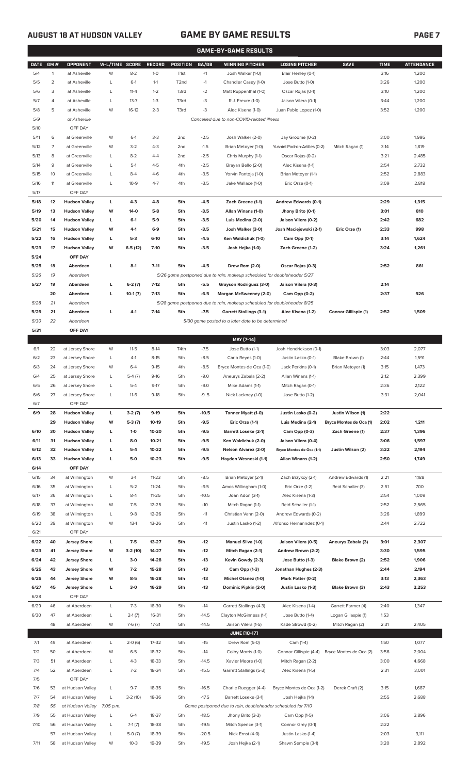# **AUGUST 18 AT HUDSON VALLEY GAME BY GAME RESULTS PAGE 7**

|             | <b>GAME-BY-GAME RESULTS</b> |                      |                |           |               |                   |         |                                                                         |                               |                             |             |                   |
|-------------|-----------------------------|----------------------|----------------|-----------|---------------|-------------------|---------|-------------------------------------------------------------------------|-------------------------------|-----------------------------|-------------|-------------------|
| <b>DATE</b> | GM#                         | <b>OPPONENT</b>      | W-L/TIME SCORE |           | <b>RECORD</b> | <b>POSITION</b>   | GA/GB   | <b>WINNING PITCHER</b>                                                  | <b>LOSING PITCHER</b>         | <b>SAVE</b>                 | <b>TIME</b> | <b>ATTENDANCE</b> |
| 5/4         | $\mathbf{1}$                | at Asheville         | W              | $8-2$     | $1-0$         | T <sub>1st</sub>  | $+1$    | Josh Walker (1-0)                                                       | Blair Henley (0-1)            |                             | 3:16        | 1,200             |
| 5/5         | $\overline{2}$              | at Asheville         | L              | $6-1$     | $1 - 1$       | T <sub>2</sub> nd | $-1$    | Chandler Casey (1-0)                                                    | Jose Butto (1-0)              |                             | 3:26        | 1,200             |
| 5/6         | 3                           | at Asheville         | L              | $11 - 4$  | $1 - 2$       | T3rd              | $-2$    | Matt Ruppenthal (1-0)                                                   | Oscar Rojas (0-1)             |                             | 3:10        | 1,200             |
|             |                             |                      |                |           |               |                   |         |                                                                         |                               |                             |             |                   |
| 5/7         | 4                           | at Asheville         | L              | $13 - 7$  | $1 - 3$       | T3rd              | -3      | R.J. Freure (1-0)                                                       | Jaison Vilera (0-1)           |                             | 3:44        | 1,200             |
| 5/8         | 5                           | at Asheville         | W              | $16-12$   | $2 - 3$       | T3rd              | -3      | Alec Kisena (1-0)                                                       | Juan Pablo Lopez (1-0)        |                             | 3:52        | 1,200             |
| 5/9         |                             | at Asheville         |                |           |               |                   |         | Cancelled due to non-COVID-related illness                              |                               |                             |             |                   |
| 5/10        |                             | OFF DAY              |                |           |               |                   |         |                                                                         |                               |                             |             |                   |
| 5/11        | 6                           | at Greenville        | W              | $6-1$     | $3-3$         | 2 <sub>nd</sub>   | $-2.5$  | Josh Walker (2-0)                                                       | Jay Groome (0-2)              |                             | 3:00        | 1,995             |
| 5/12        | 7                           | at Greenville        | W              | $3-2$     | $4 - 3$       | 2 <sub>nd</sub>   | $-1.5$  | Brian Metoyer (1-0)                                                     | Yusniel Padron-Artilles (0-2) | Mitch Ragan (1)             | 3:14        | 1,819             |
| 5/13        | 8                           | at Greenville        | L              | $8 - 2$   | $4 - 4$       | 2 <sub>nd</sub>   | $-2.5$  | Chris Murphy (1-1)                                                      | Oscar Rojas (0-2)             |                             | 3:21        | 2,485             |
| 5/14        | 9                           | at Greenville        | L              | $5-1$     | $4 - 5$       | 4th               | $-2.5$  | Brayan Bello (2-0)                                                      | Alec Kisena (1-1)             |                             | 2:54        | 2,732             |
| 5/15        | 10                          | at Greenville        | L              | $8 - 4$   | $4-6$         | 4th               | $-3.5$  | Yorvin Pantoja (1-0)                                                    | Brian Metoyer (1-1)           |                             | 2:52        | 2,883             |
| 5/16        | 11                          | at Greenville        | L              | $10-9$    | $4 - 7$       | 4th               | $-3.5$  | Jake Wallace (1-0)                                                      | Eric Orze (0-1)               |                             | 3:09        | 2,818             |
| 5/17        |                             | OFF DAY              |                |           |               |                   |         |                                                                         |                               |                             |             |                   |
| 5/18        | 12                          | <b>Hudson Valley</b> | L              | $4-3$     | $4-8$         | 5th               | $-4.5$  | Zach Greene (1-1)                                                       | Andrew Edwards (0-1)          |                             | 2:29        | 1,315             |
|             | 13                          | <b>Hudson Valley</b> | W              | 14-0      | $5-8$         | 5th               | $-3.5$  |                                                                         |                               |                             | 3:01        | 810               |
| 5/19        |                             |                      |                |           |               |                   |         | Allan Winans (1-0)                                                      | Jhony Brito (0-1)             |                             |             |                   |
| 5/20        | 14                          | <b>Hudson Valley</b> | L              | $6-1$     | $5-9$         | 5th               | $-3.5$  | Luis Medina (2-0)                                                       | Jaison Vilera (0-2)           |                             | 2:42        | 682               |
| 5/21        | 15                          | <b>Hudson Valley</b> | W              | 4-1       | $6-9$         | 5th               | $-3.5$  | Josh Walker (3-0)                                                       | Josh Maciejewski (2-1)        | Eric Orze (1)               | 2:33        | 998               |
| 5/22        | 16                          | <b>Hudson Valley</b> | г              | $5-3$     | $6-10$        | 5th               | $-4.5$  | Ken Waldichuk (1-0)                                                     | Cam Opp (0-1)                 |                             | 3:14        | 1,624             |
| 5/23        | 17                          | <b>Hudson Valley</b> | W              | $6-5(12)$ | $7-10$        | 5th               | $-3.5$  | Josh Hejka (1-0)                                                        | Zach Greene (1-2)             |                             | 3:24        | 1,261             |
| 5/24        |                             | OFF DAY              |                |           |               |                   |         |                                                                         |                               |                             |             |                   |
| 5/25        | 18                          | Aberdeen             | г              | $8-1$     | $7 - 11$      | 5th               | $-4.5$  | Drew Rom (2-0)                                                          | Oscar Rojas (0-3)             |                             | 2:52        | 861               |
| 5/26        | 19                          | Aberdeen             |                |           |               |                   |         | 5/26 game postponed due to rain, makeup scheduled for doubleheader 5/27 |                               |                             |             |                   |
| 5/27        | 19                          | Aberdeen             | г              | $6-2(7)$  | $7-12$        | 5th               | $-5.5$  | Grayson Rodriguez (3-0)                                                 | Jaison Vilera (0-3)           |                             | 2:14        |                   |
|             | 20                          | Aberdeen             | L              | $10-1(7)$ | $7-13$        | 5th               | $-6.5$  | Morgan McSweeney (2-0)                                                  | Cam Opp (0-2)                 |                             | 2:37        | 926               |
| 5/28        | 21                          | Aberdeen             |                |           |               |                   |         | 5/28 game postponed due to rain, makeup scheduled for doubleheader 8/25 |                               |                             |             |                   |
| 5/29        | 21                          | Aberdeen             | П              | $4-1$     | $7-14$        | 5th               | $-7.5$  | <b>Garrett Stallings (3-1)</b>                                          | Alec Kisena (1-2)             | <b>Connor Gillispie (1)</b> | 2:52        | 1,509             |
| 5/30        | 22                          | Aberdeen             |                |           |               |                   |         | 5/30 game posted to a later date to be determined                       |                               |                             |             |                   |
|             |                             |                      |                |           |               |                   |         |                                                                         |                               |                             |             |                   |
| 5/31        |                             | OFF DAY              |                |           |               |                   |         |                                                                         |                               |                             |             |                   |
|             |                             |                      |                |           |               |                   |         | MAY [7-14]                                                              |                               |                             |             |                   |
| 6/1         | 22                          | at Jersey Shore      | W              | $11-5$    | $8-14$        | T4th              | $-7.5$  | Jose Butto (1-1)                                                        | Josh Hendrickson (0-1)        |                             | 3:03        | 2,077             |
| 6/2         | 23                          | at Jersey Shore      | L              | $4-1$     | $8 - 15$      | 5th               | $-8.5$  | Carlo Reyes (1-0)                                                       | Justin Lasko (0-1)            | Blake Brown (1)             | 2:44        | 1,591             |
| 6/3         | 24                          | at Jersey Shore      | W              | $6 - 4$   | $9 - 15$      | 4th               | $-8.5$  | Bryce Montes de Oca (1-0)                                               | Jack Perkins (0-1)            | Brian Metoyer (1)           | 3:15        | 1,473             |
| 6/4         | 25                          | at Jersey Shore      | L              | $5-4(7)$  | $9 - 16$      | 5th               | $-9.0$  | Aneurys Zabala (2-2)                                                    | Allan Winans (1-1)            |                             | 2:12        | 2,399             |
| 6/5         | 26                          | at Jersey Shore      | L              | $5 - 4$   | $9 - 17$      | 5th               | $-9.0$  | Mike Adams (1-1)                                                        | Mitch Ragan (0-1)             |                             | 2:36        | 2,122             |
| 6/6         | 27                          | at Jersey Shore      | L              | $11-6$    | $9-18$        | 5th               | $-9.5$  | Nick Lackney (1-0)                                                      | Jose Butto (1-2)              |                             | 3:31        | 2,041             |
| 6/7         |                             | OFF DAY              |                |           |               |                   |         |                                                                         |                               |                             |             |                   |
| 6/9         | 28                          | <b>Hudson Valley</b> | L              | $3-2(7)$  | $9-19$        | 5th               | $-10.5$ | Tanner Myatt (1-0)                                                      | Justin Lasko (0-2)            | Justin Wilson (1)           | 2:22        |                   |
|             | 29                          | <b>Hudson Valley</b> | W              | $5-3(7)$  | 10-19         | 5th               | $-9.5$  | Eric Orze (1-1)                                                         | Luis Medina (2-1)             | Bryce Montes de Oca (1)     | 2:02        | 1,211             |
| 6/10        | 30                          | <b>Hudson Valley</b> | L              | $1 - 0$   | 10-20         | 5th               | $-9.5$  | <b>Barrett Loseke (2-1)</b>                                             | Cam Opp (0-3)                 | Zach Greene (1)             | 2:37        | 1,396             |
| 6/11        | 31                          |                      | L              | $8-0$     | $10 - 21$     | 5th               |         |                                                                         |                               |                             | 3:06        |                   |
|             |                             | <b>Hudson Valley</b> |                |           |               |                   | $-9.5$  | Ken Waldichuk (2-0)                                                     | Jaison Vilera (0-4)           |                             |             | 1,597             |
| 6/12        | 32                          | <b>Hudson Valley</b> | г              | $5-4$     | 10-22         | 5th               | $-9.5$  | Nelson Alvarez (2-0)                                                    | Bryce Montes de Oca (1-1)     | Justin Wilson (2)           | 3:22        | 2,194             |
| 6/13        | 33                          | <b>Hudson Valley</b> | L              | $5-0$     | $10 - 23$     | 5th               | $-9.5$  | Hayden Wesneski (1-1)                                                   | Allan Winans (1-2)            |                             | 2:50        | 1,749             |
| 6/14        |                             | OFF DAY              |                |           |               |                   |         |                                                                         |                               |                             |             |                   |
| 6/15        | 34                          | at Wilmington        | W              | $3-1$     | $11 - 23$     | 5th               | $-8.5$  | Brian Metoyer (2-1)                                                     | Zach Brzykcy (2-1)            | Andrew Edwards (1)          | 2:21        | 1,188             |
| 6/16        | 35                          | at Wilmington        | L              | $5 - 2$   | $11 - 24$     | 5th               | $-9.5$  | Amos Willingham (1-0)                                                   | Eric Orze (1-2)               | Reid Schaller (3)           | 2:51        | 700               |
| 6/17        | 36                          | at Wilmington        | L              | $8 - 4$   | $11 - 25$     | 5th               | $-10.5$ | Joan Adon (3-1)                                                         | Alec Kisena (1-3)             |                             | 2:54        | 1,009             |
| 6/18        | 37                          | at Wilmington        | W              | $7-5$     | $12 - 25$     | 5th               | $-10$   | Mitch Ragan (1-1)                                                       | Reid Schaller (1-1)           |                             | 2:52        | 2,565             |
| 6/19        | 38                          | at Wilmington        | L              | $9 - 8$   | 12-26         | 5th               | $-11$   | Christian Vann (2-0)                                                    | Andrew Edwards (0-2)          |                             | 3:26        | 1,899             |
| 6/20        | 39                          | at Wilmington        | W              | $13-1$    | 13-26         | 5th               | $-11$   | Justin Lasko (1-2)                                                      | Alfonso Hernanndez (0-1)      |                             | 2:44        | 2,722             |
| 6/21        |                             | OFF DAY              |                |           |               |                   |         |                                                                         |                               |                             |             |                   |
| 6/22        | 40                          | <b>Jersey Shore</b>  | L              | $7 - 5$   | 13-27         | 5th               | $-12$   | <b>Manuel Silva (1-0)</b>                                               | Jaison Vilera (0-5)           | Aneurys Zabala (3)          | 3:01        | 2,307             |
| 6/23        | 41                          | <b>Jersey Shore</b>  | W              | $3-2(10)$ | 14-27         | 5th               | $-12$   | Mitch Ragan (2-1)                                                       | Andrew Brown (2-2)            |                             | 3:30        | 1,595             |
| 6/24        | 42                          | <b>Jersey Shore</b>  | L              | $3-0$     | 14-28         | 5th               | $-13$   | Kevin Gowdy (2-3)                                                       | Jose Butto (1-3)              | Blake Brown (2)             | 2:52        | 1,906             |
|             |                             |                      |                |           |               |                   |         |                                                                         |                               |                             |             |                   |
| 6/25        | 43                          | <b>Jersey Shore</b>  | W              | $7-2$     | 15-28         | 5th               | $-13$   | Cam Opp (1-3)                                                           | Jonathan Hughes (2-3)         |                             | 2:44        | 2,194             |
| 6/26        | 44                          | <b>Jersey Shore</b>  | W              | $8-5$     | 16-28         | 5th               | -13     | <b>Michel Otanez (1-0)</b>                                              | Mark Potter (0-2)             |                             | 3:13        | 2,363             |
| 6/27        | 45                          | <b>Jersey Shore</b>  | г              | $3-0$     | 16-29         | 5th               | -13     | Dominic Pipkin (2-0)                                                    | Justin Lasko (1-3)            | Blake Brown (3)             | 2:43        | 2,253             |
| 6/28        |                             | OFF DAY              |                |           |               |                   |         |                                                                         |                               |                             |             |                   |
| 6/29        | 46                          | at Aberdeen          | L              | $7-3$     | 16-30         | 5th               | $-14$   | Garrett Stallings (4-3)                                                 | Alec Kisena (1-4)             | Garrett Farmer (4)          | 2:40        | 1,347             |
| 6/30        | 47                          | at Aberdeen          | L              | $2-1(7)$  | 16-31         | 5th               | $-14.5$ | Clayton McGinness (1-1)                                                 | Jose Butto (1-4)              | Logan Gillaspie (1)         | 1:53        |                   |
|             | 48                          | at Aberdeen          | W              | $7-6(7)$  | $17 - 31$     | 5th               | $-14.5$ | Jaison Vilera (1-5)                                                     | Kade Strowd (0-2)             | Mitch Ragan (2)             | 2:31        | 2,405             |
|             |                             |                      |                |           |               |                   |         | <b>JUNE [10-17]</b>                                                     |                               |                             |             |                   |
| 7/1         | 49                          | at Aberdeen          | L              | $2-0(6)$  | 17-32         | 5th               | $-15$   | Drew Rom (5-0)                                                          | Cam (1-4)                     |                             | 1:50        | 1,077             |
| 7/2         | 50                          | at Aberdeen          | W              | $6 - 5$   | 18-32         | 5th               | $-14$   | Colby Morris (1-0)                                                      | Connor Gillispie (4-4)        | Bryce Montes de Oca (2)     | 3:56        | 2,004             |
| 7/3         | 51                          | at Aberdeen          | L              | $4 - 3$   | 18-33         | 5th               | $-14.5$ | Xavier Moore (1-0)                                                      | Mitch Ragan (2-2)             |                             | 3:00        | 4,668             |
| 7/4         | 52                          | at Aberdeen          | L              | $7 - 2$   | 18-34         | 5th               | $-15.5$ | Garrett Stallings (5-3)                                                 | Alec Kisena (1-5)             |                             | 2:31        | 3,001             |
|             |                             | OFF DAY              |                |           |               |                   |         |                                                                         |                               |                             |             |                   |
| 7/5         |                             |                      |                |           |               |                   |         |                                                                         |                               |                             |             |                   |
| 7/6         | 53                          | at Hudson Valley     | L              | $9 - 7$   | 18-35         | 5th               | $-16.5$ | Charlie Ruegger (4-4)                                                   | Bryce Montes de Oca (1-2)     | Derek Craft (2)             | 3:15        | 1,687             |
| 7/7         | 54                          | at Hudson Valley     | L              | $3-2(10)$ | 18-36         | 5th               | $-17.5$ | Barrett Loseke (3-1)                                                    | Josh Hejka (1-1)              |                             | 2:55        | 2,688             |
| 7/8         | 55                          | at Hudson Valley     | 7:05 p.m.      |           |               |                   |         | Game postponed due to rain, doubleheader scheduled for 7/10             |                               |                             |             |                   |
| 7/9         | 55                          | at Hudson Valley     | L              | $6 - 4$   | 18-37         | 5th               | $-18.5$ | Jhony Brito (3-3)                                                       | Cam Opp (1-5)                 |                             | 3:06        | 3,896             |
| 7/10        | 56                          | at Hudson Valley     | L              | $7-1(7)$  | 18-38         | 5th               | $-19.5$ | Mitch Spence (3-1)                                                      | Connor Grey (0-1)             |                             | 2:22        |                   |
|             | 57                          | at Hudson Valley     | L              | $5-0(7)$  | 18-39         | 5th               | $-20.5$ | Nick Ernst (4-0)                                                        | Justin Lasko (1-4)            |                             | 2:03        | 3,111             |
| 7/11        | 58                          | at Hudson Valley     | W              | $10 - 3$  | 19-39         | 5th               | $-19.5$ | Josh Hejka (2-1)                                                        | Shawn Semple (3-1)            |                             | 3:20        | 2,892             |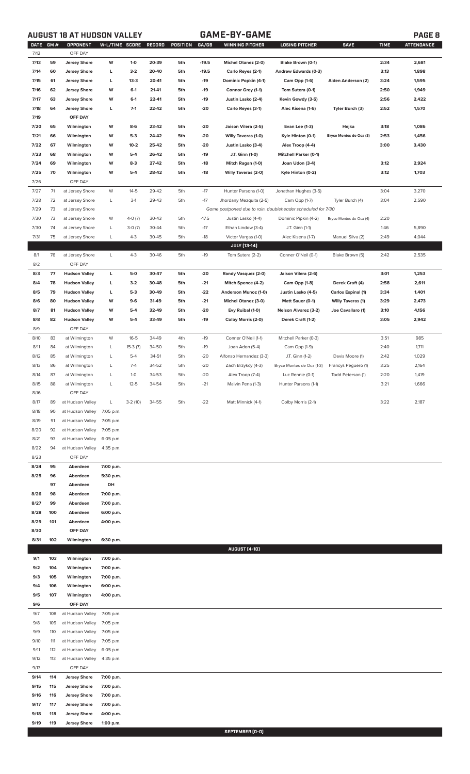# **AUGUST 18 AT HUDSON VALLEY GAME-BY-GAME PAGE 8**

|--|

| <b>DATE</b><br>7/12 | GM# | <b>OPPONENT</b><br>OFF DAY | W-L/TIME SCORE |           | RECORD | POSITION | GA/GB   | <b>WINNING PITCHER</b>                                      | <b>LOSING PITCHER</b>        | <b>SAVE</b>               | <b>TIME</b> | <b>ATTENDANCE</b> |
|---------------------|-----|----------------------------|----------------|-----------|--------|----------|---------|-------------------------------------------------------------|------------------------------|---------------------------|-------------|-------------------|
|                     |     |                            |                |           |        |          |         |                                                             |                              |                           |             |                   |
| 7/13                | 59  | <b>Jersey Shore</b>        | W              | $1 - 0$   | 20-39  | 5th      | $-19.5$ | <b>Michel Otanez (2-0)</b>                                  | Blake Brown (0-1)            |                           | 2:34        | 2,681             |
| 7/14                | 60  | <b>Jersey Shore</b>        | L              | $3-2$     | 20-40  | 5th      | $-19.5$ | Carlo Reyes (2-1)                                           | Andrew Edwards (0-3)         |                           | 3:13        | 1,898             |
| 7/15                | 61  | <b>Jersey Shore</b>        | L              | $13-3$    | 20-41  | 5th      | $-19$   | Dominic Popkin (4-1)                                        | Cam Opp (1-6)                | Aiden Anderson (2)        | 3:24        | 1,595             |
| 7/16                | 62  | <b>Jersey Shore</b>        | W              | $6-1$     | 21-41  | 5th      | $-19$   | Connor Grey (1-1)                                           | Tom Sutera (0-1)             |                           | 2:50        | 1,949             |
| 7/17                | 63  | <b>Jersey Shore</b>        | W              | $6-1$     | 22-41  | 5th      | $-19$   | Justin Lasko (2-4)                                          | Kevin Gowdy (3-5)            |                           | 2:56        | 2,422             |
| 7/18                | 64  | <b>Jersey Shore</b>        | L              | $7-1$     | 22-42  | 5th      | $-20$   | Carlo Reyes (3-1)                                           | Alec Kisena (1-6)            | Tyler Burch (3)           | 2:52        | 1,570             |
| 7/19                |     | OFF DAY                    |                |           |        |          |         |                                                             |                              |                           |             |                   |
| 7/20                | 65  | Wilmington                 | W              | $8-6$     | 23-42  | 5th      | $-20$   | Jaison Vilera (2-5)                                         | Evan Lee (1-3)               | Hejka                     | 3:18        | 1,086             |
| 7/21                | 66  | Wilmington                 | W              | $5-3$     | 24-42  | 5th      | $-20$   | Willy Taveras (1-0)                                         | Kyle Hinton (0-1)            | Bryce Montes de Oca (3)   | 2:53        | 1,456             |
| 7/22                | 67  | Wilmington                 | W              | $10 - 2$  | 25-42  | 5th      | $-20$   | Justin Lasko (3-4)                                          | Alex Troop (4-4)             |                           | 3:00        | 3,430             |
| 7/23                | 68  | Wilmington                 | W              | $5-4$     | 26-42  | 5th      | $-19$   | J.T. Ginn (1-0)                                             | <b>Mitchell Parker (0-1)</b> |                           |             |                   |
| 7/24                | 69  | Wilmington                 | W              | $8-3$     | 27-42  | 5th      | -18     | Mitch Ragan (1-0)                                           | Joan Udon (3-4)              |                           | 3:12        | 2,924             |
| 7/25                | 70  | Wilmington                 | W              | $5-4$     | 28-42  | 5th      | $-18$   | <b>Willy Taveras (2-0)</b>                                  | Kyle Hinton (0-2)            |                           | 3:12        | 1,703             |
| 7/26                |     | OFF DAY                    |                |           |        |          |         |                                                             |                              |                           |             |                   |
| 7/27                | 71  | at Jersey Shore            | W              | $14 - 5$  | 29-42  | 5th      | $-17$   | Hunter Parsons (1-0)                                        | Jonathan Hughes (3-5)        |                           | 3:04        | 3,270             |
| 7/28                | 72  | at Jersey Shore            | L              | $3-1$     | 29-43  | 5th      | $-17$   | Jhordany Mezquita (2-5)                                     | Cam Opp (1-7)                | Tyler Burch (4)           | 3:04        | 2,590             |
| 7/29                | 73  | at Jersey Shore            |                |           |        |          |         | Game postponed due to rain, doubleheader scheduled for 7/30 |                              |                           |             |                   |
| 7/30                | 73  | at Jersey Shore            | W              | $4-0(7)$  | 30-43  | 5th      | $-17.5$ | Justin Lasko (4-4)                                          | Dominic Pipkin (4-2)         | Bryce Montes de Oca (4)   | 2:20        |                   |
| 7/30                | 74  | at Jersey Shore            | L              | $3-0(7)$  | 30-44  | 5th      | $-17$   | Ethan Lindow (3-4)                                          | J.T. Ginn (1-1)              |                           | 1:46        | 5,890             |
| 7/31                | 75  | at Jersey Shore            | L              | $4 - 3$   | 30-45  | 5th      | $-18$   | Victor Vargas (1-0)                                         | Alec Kisena (1-7)            | Manuel Silva (2)          | 2:49        | 4,044             |
|                     |     |                            |                |           |        |          |         | JULY [13-14]                                                |                              |                           |             |                   |
| 8/1                 | 76  | at Jersey Shore            | L              | $4 - 3$   | 30-46  | 5th      | $-19$   | Tom Sutera (2-2)                                            | Conner O'Neil (0-1)          | Blake Brown (5)           | 2:42        | 2,535             |
| 8/2                 |     | OFF DAY                    |                |           |        |          |         |                                                             |                              |                           |             |                   |
| 8/3                 | 77  | <b>Hudson Valley</b>       | L              | 5-0       | 30-47  | 5th      | $-20$   | Randy Vasquez (2-0)                                         | Jaison Vilera (2-6)          |                           | 3:01        | 1,253             |
| 8/4                 | 78  | <b>Hudson Valley</b>       | L              | $3-2$     | 30-48  | 5th      | $-21$   | Mitch Spence (4-2)                                          | Cam Opp (1-8)                | Derek Craft (4)           | 2:58        | 2,611             |
| 8/5                 | 79  | <b>Hudson Valley</b>       | L              | $5-3$     | 30-49  | 5th      | $-22$   | Anderson Munoz (1-0)                                        | Justin Lasko (4-5)           | <b>Carlos Espinal (1)</b> | 3:34        | 1,401             |
| 8/6                 | 80  | <b>Hudson Valley</b>       | W              | $9-6$     | 31-49  | 5th      | $-21$   | Michel Otanez (3-0)                                         | Matt Sauer (0-1)             | <b>Willy Taveras (1)</b>  | 3:29        | 2,473             |
| 8/7                 | 81  | <b>Hudson Valley</b>       | W              | $5 - 4$   | 32-49  | 5th      | $-20$   | Evy Ruibal (1-0)                                            | <b>Nelson Alvarez (3-2)</b>  | Joe Cavallaro (1)         | 3:10        | 4,156             |
| 8/8                 | 82  | <b>Hudson Valley</b>       | W              | $5-4$     | 33-49  | 5th      | $-19$   | Colby Morris (2-0)                                          | Derek Craft (1-2)            |                           | 3:05        | 2,942             |
| 8/9                 |     | OFF DAY                    |                |           |        |          |         |                                                             |                              |                           |             |                   |
| 8/10                | 83  | at Wilmington              | W              | $16 - 5$  | 34-49  | 4th      | $-19$   | Conner O'Neil (1-1)                                         | Mitchell Parker (0-3)        |                           | 3:51        | 985               |
| 8/11                | 84  | at Wilmington              | L              | $15-3(7)$ | 34-50  | 5th      | $-19$   | Joan Adon (5-4)                                             | Cam Opp (1-9)                |                           | 2:40        | 1,711             |
| 8/12                | 85  | at Wilmington              | L              | $5 - 4$   | 34-51  | 5th      | $-20$   | Alfonso Hernandez (3-3)                                     | J.T. Ginn (1-2)              | Davis Moore (1)           | 2:42        | 1,029             |
| 8/13                | 86  | at Wilmington              | L              | $7 - 4$   | 34-52  | 5th      | $-20$   | Zach Brzykcy (4-3)                                          | Bryce Montes de Oca (1-3)    | Francys Peguero (1)       | 3:25        | 2,164             |
| 8/14                | 87  | at Wilmington              | L              | $1-0$     | 34-53  | 5th      | $-20$   | Alex Troop (7-4)                                            | Luc Rennie (0-1)             | Todd Peterson (1)         | 2:20        | 1,419             |
| 8/15                | 88  | at Wilmington              | L              | $12 - 5$  | 34-54  | 5th      | $-21$   | Malvin Pena (1-3)                                           | Hunter Parsons (1-1)         |                           | 3:21        | 1,666             |
| 8/16                |     | OFF DAY                    |                |           |        |          |         |                                                             |                              |                           |             |                   |
|                     |     | at Hudson Valley           |                |           |        |          |         |                                                             |                              |                           |             |                   |
| 8/17                | 89  |                            | L              | $3-2(10)$ | 34-55  | 5th      | $-22$   | Matt Minnick (4-1)                                          | Colby Morris (2-1)           |                           | 3:22        | 2,187             |
| 8/18                | 90  | at Hudson Valley           | 7:05 p.m.      |           |        |          |         |                                                             |                              |                           |             |                   |
| 8/19                | 91  | at Hudson Valley           | 7:05 p.m.      |           |        |          |         |                                                             |                              |                           |             |                   |
| 8/20                | 92  | at Hudson Valley           | 7:05 p.m.      |           |        |          |         |                                                             |                              |                           |             |                   |
| 8/21                | 93  | at Hudson Valley           | 6:05 p.m.      |           |        |          |         |                                                             |                              |                           |             |                   |
| 8/22                | 94  | at Hudson Valley           | 4:35 p.m.      |           |        |          |         |                                                             |                              |                           |             |                   |
| 8/23                |     | OFF DAY                    |                |           |        |          |         |                                                             |                              |                           |             |                   |
| 8/24                | 95  | Aberdeen                   | 7:00 p.m.      |           |        |          |         |                                                             |                              |                           |             |                   |
| 8/25                | 96  | Aberdeen                   | 5:30 p.m.      |           |        |          |         |                                                             |                              |                           |             |                   |
|                     | 97  | Aberdeen                   | DH             |           |        |          |         |                                                             |                              |                           |             |                   |
| 8/26                | 98  | Aberdeen                   | 7:00 p.m.      |           |        |          |         |                                                             |                              |                           |             |                   |
| 8/27                | 99  | Aberdeen                   | 7:00 p.m.      |           |        |          |         |                                                             |                              |                           |             |                   |
| 8/28                | 100 | Aberdeen                   | 6:00 p.m.      |           |        |          |         |                                                             |                              |                           |             |                   |
| 8/29                | 101 | Aberdeen                   | 4:00 p.m.      |           |        |          |         |                                                             |                              |                           |             |                   |
| 8/30                |     | OFF DAY                    |                |           |        |          |         |                                                             |                              |                           |             |                   |
| 8/31                | 102 | Wilmington                 | 6:30 p.m.      |           |        |          |         |                                                             |                              |                           |             |                   |
|                     |     |                            |                |           |        |          |         | <b>AUGUST [4-10]</b>                                        |                              |                           |             |                   |
| 9/1                 | 103 | Wilmington                 | 7:00 p.m.      |           |        |          |         |                                                             |                              |                           |             |                   |
| 9/2                 | 104 | Wilmington                 | 7:00 p.m.      |           |        |          |         |                                                             |                              |                           |             |                   |
| 9/3                 | 105 | Wilmington                 | 7:00 p.m.      |           |        |          |         |                                                             |                              |                           |             |                   |
| 9/4                 | 106 | Wilmington                 | 6:00 p.m.      |           |        |          |         |                                                             |                              |                           |             |                   |
| 9/5                 | 107 | Wilmington                 | 4:00 p.m.      |           |        |          |         |                                                             |                              |                           |             |                   |
| 9/6                 |     | OFF DAY                    |                |           |        |          |         |                                                             |                              |                           |             |                   |
| 9/7                 | 108 | at Hudson Valley           | 7:05 p.m.      |           |        |          |         |                                                             |                              |                           |             |                   |
| 9/8                 | 109 | at Hudson Valley           | 7:05 p.m.      |           |        |          |         |                                                             |                              |                           |             |                   |
| 9/9                 | 110 | at Hudson Valley           | 7:05 p.m.      |           |        |          |         |                                                             |                              |                           |             |                   |
| 9/10                | 111 | at Hudson Valley           | 7:05 p.m.      |           |        |          |         |                                                             |                              |                           |             |                   |
| 9/11                | 112 | at Hudson Valley           | 6:05 p.m.      |           |        |          |         |                                                             |                              |                           |             |                   |
| 9/12                | 113 | at Hudson Valley           | 4:35 p.m.      |           |        |          |         |                                                             |                              |                           |             |                   |
| 9/13                |     | OFF DAY                    |                |           |        |          |         |                                                             |                              |                           |             |                   |
| 9/14                | 114 | <b>Jersey Shore</b>        | 7:00 p.m.      |           |        |          |         |                                                             |                              |                           |             |                   |
| 9/15                | 115 | <b>Jersey Shore</b>        | 7:00 p.m.      |           |        |          |         |                                                             |                              |                           |             |                   |
| 9/16                | 116 | <b>Jersey Shore</b>        | 7:00 p.m.      |           |        |          |         |                                                             |                              |                           |             |                   |
| 9/17                | 117 | <b>Jersey Shore</b>        | 7:00 p.m.      |           |        |          |         |                                                             |                              |                           |             |                   |
| 9/18                | 118 | <b>Jersey Shore</b>        | 4:00 p.m.      |           |        |          |         |                                                             |                              |                           |             |                   |
| 9/19                | 119 | <b>Jersey Shore</b>        | 1:00 p.m.      |           |        |          |         |                                                             |                              |                           |             |                   |
|                     |     |                            |                |           |        |          |         | SEPTEMBER [0-0]                                             |                              |                           |             |                   |